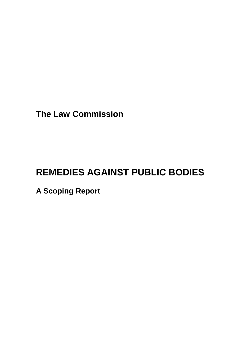**The Law Commission**

# **REMEDIES AGAINST PUBLIC BODIES**

**A Scoping Report**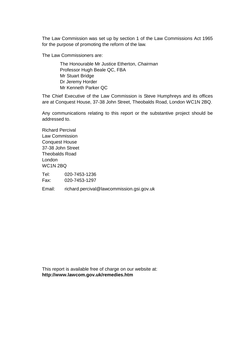The Law Commission was set up by section 1 of the Law Commissions Act 1965 for the purpose of promoting the reform of the law.

The Law Commissioners are:

The Honourable Mr Justice Etherton, *Chairman* Professor Hugh Beale QC, FBA Mr Stuart Bridge Dr Jeremy Horder Mr Kenneth Parker QC

The Chief Executive of the Law Commission is Steve Humphreys and its offices are at Conquest House, 37-38 John Street, Theobalds Road, London WC1N 2BQ.

Any communications relating to this report or the substantive project should be addressed to.

Richard Percival Law Commission Conquest House 37-38 John Street Theobalds Road London WC1N 2BQ

Tel: 020-7453-1236 Fax: 020-7453-1297

Email: richard.percival@lawcommission.gsi.gov.uk

This report is available free of charge on our website at: **http://www.lawcom.gov.uk/remedies.htm**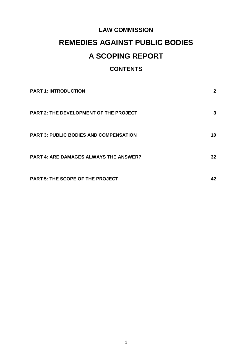# **LAW COMMISSION**

# **REMEDIES AGAINST PUBLIC BODIES**

# **A SCOPING REPORT**

# **CONTENTS**

| <b>PART 1: INTRODUCTION</b>                   | 2  |
|-----------------------------------------------|----|
| <b>PART 2: THE DEVELOPMENT OF THE PROJECT</b> | 3  |
| <b>PART 3: PUBLIC BODIES AND COMPENSATION</b> | 10 |
| <b>PART 4: ARE DAMAGES ALWAYS THE ANSWER?</b> | 32 |
| <b>PART 5: THE SCOPE OF THE PROJECT</b>       | 42 |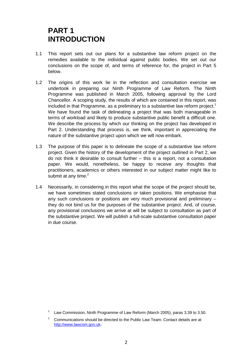# **PART 1 INTRODUCTION**

- 1.1 This report sets out our plans for a substantive law reform project on the remedies available to the individual against public bodies. We set out our conclusions on the scope of, and terms of reference for, the project in Part 5 below.
- 1.2 The origins of this work lie in the reflection and consultation exercise we undertook in preparing our Ninth Programme of Law Reform. The Ninth Programme was published in March 2005, following approval by the Lord Chancellor. A scoping study, the results of which are contained in this report, was included in that Programme, as a preliminary to a substantive law reform project.<sup>[1](#page-3-0)</sup> We have found the task of delineating a project that was both manageable in terms of workload and likely to produce substantive public benefit a difficult one. We describe the process by which our thinking on the project has developed in Part 2. Understanding that process is, we think, important in appreciating the nature of the substantive project upon which we will now embark.
- 1.3 The purpose of this paper is to delineate the scope of a substantive law reform project. Given the history of the development of the project outlined in Part 2, we do not think it desirable to consult further – this is a report, not a consultation paper. We would, nonetheless, be happy to receive any thoughts that practitioners, academics or others interested in our subject matter might like to submit at any time. $2$
- 1.4 Necessarily, in considering in this report what the scope of the project should be, we have sometimes stated conclusions or taken positions. We emphasise that any such conclusions or positions are very much provisional and preliminary – they do not bind us for the purposes of the substantive project. And, of course, any provisional conclusions we arrive at will be subject to consultation as part of the substantive project. We will publish a full-scale substantive consultation paper in due course.

<span id="page-3-0"></span>Law Commission, Ninth Programme of Law Reform (March 2005), paras 3.39 to 3.50.

<span id="page-3-1"></span> $2^2$  Communications should be directed to the Public Law Team. Contact details are at http://www.lawcom.gov.uk.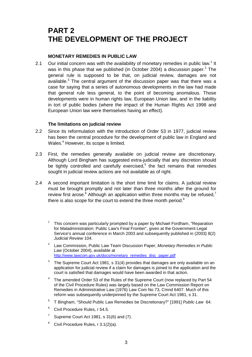# **PART 2 THE DEVELOPMENT OF THE PROJECT**

# **MONETARY REMEDIES IN PUBLIC LAW**

2.1Our initial concern was with the availability of monetary remedies in public law.<sup>1</sup> It wasin this phase that we published (in October 2004) a discussion paper.<sup>2</sup> The general rule is supposed to be that, on judicial review, damages are not available.<sup>[3](#page-4-2)</sup> The central argument of the discussion paper was that there was a case for saying that a series of autonomous developments in the law had made that general rule less general, to the point of becoming anomalous. Those developments were in human rights law, European Union law, and in the liability in tort of public bodies (where the impact of the Human Rights Act 1998 and European Union law were themselves having an effect).

# **The limitations on judicial review**

- 2.2 Since its reformulation with the introduction of Order 53 in 1977, judicial review has been the central procedure for the development of public law in England and Wales.<sup>[4](#page-4-3)</sup> However, its scope is limited.
- 2.3 First, the remedies generally available on judicial review are discretionary. Although Lord Bingham has suggested extra-judicially that any discretion should be tightly controlled and carefully exercised, $5$  the fact remains that remedies sought in judicial review actions are not available as of right.
- <span id="page-4-7"></span><span id="page-4-6"></span><span id="page-4-5"></span><span id="page-4-4"></span><span id="page-4-3"></span><span id="page-4-2"></span><span id="page-4-1"></span><span id="page-4-0"></span>2.4 A second important limitation is the short time limit for claims. A judicial review must be brought promptly and not later than three months after the ground for review first arose.<sup>6</sup> Although an application within three months may be refused,<sup>[7](#page-4-6)</sup> there is also scope for the court to extend the three month period. $8$ 
	- <sup>1</sup> This concern was particularly prompted by a paper by Michael Fordham, "Reparation for Maladministration: Public Law's Final Frontier", given at the Government Legal Service's annual conference in March 2003 and subsequently published in (2003) 8(2) *Judicial Review* 104.
	- <sup>2</sup> Law Commission, Public Law Team Discussion Paper, *Monetary Remedies in Public Law* (October 2004), available at http://www.lawcom.gov.uk/docs/monetary\_remedies\_disc\_paper.pdf
	- $3$  The Supreme Court Act 1981, s 31(4) provides that damages are only available on an application for judicial review if a claim for damages is joined to the application and the court is satisfied that damages would have been awarded in that action.
	- <sup>4</sup> The amended Order 53 of the Rules of the Supreme Court (now replaced by Part 54 of the Civil Procedure Rules) was largely based on the Law Commission Report on Remedies in Administrative Law (1976) Law Com No 73, Cmnd 6407. Much of this reform was subsequently underpinned by the Supreme Court Act 1981, s 31.
	- <sup>5</sup> T Bingham, "Should Public Law Remedies be Discretionary?" [1991] *Public Law* 64.
	- <sup>6</sup> Civil Procedure Rules, r 54.5.
	- <sup>7</sup> Supreme Court Act 1981, s  $31(6)$  and (7).
	- $8$  Civil Procedure Rules, r 3.1(2)(a).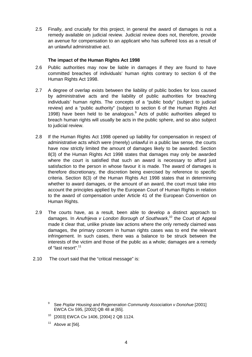2.5 Finally, and crucially for this project, in general the award of damages is not a remedy available on judicial review. Judicial review does not, therefore, provide an avenue for compensation to an applicant who has suffered loss as a result of an unlawful administrative act.

# **The impact of the Human Rights Act 1998**

- 2.6 Public authorities may now be liable in damages if they are found to have committed breaches of individuals' human rights contrary to section 6 of the Human Rights Act 1998.
- 2.7 A degree of overlap exists between the liability of public bodies for loss caused by administrative acts and the liability of public authorities for breaching individuals' human rights. The concepts of a "public body" (subject to judicial review) and a "public authority" (subject to section 6 of the Human Rights Act 1998) have been held to be analogous.<sup>9</sup> Acts of public authorities alleged to breach human rights will usually be acts in the public sphere, and so also subject to judicial review.
- 2.8 If the Human Rights Act 1998 opened up liability for compensation in respect of administrative acts which were (merely) unlawful in a public law sense, the courts have now strictly limited the amount of damages likely to be awarded. Section 8(3) of the Human Rights Act 1998 states that damages may only be awarded where the court is satisfied that such an award is necessary to afford just satisfaction to the person in whose favour it is made. The award of damages is therefore discretionary, the discretion being exercised by reference to specific criteria. Section 8(3) of the Human Rights Act 1998 states that in determining whether to award damages, or the amount of an award, the court must take into account the principles applied by the European Court of Human Rights in relation to the award of compensation under Article 41 of the European Convention on Human Rights.
- 2.9 The courts have, as a result, been able to develop a distinct approach to damages. In *Anufrijeva v London Borough of Southwark*, [10](#page-5-1) the Court of Appeal made it clear that, unlike private law actions where the only remedy claimed was damages, the primary concern in human rights cases was to end the relevant infringement. In such cases, there was a balance to be struck between the interests of the victim and those of the public as a whole; damages are a remedy of "last resort".<sup>[11](#page-5-2)</sup>
- 2.10 The court said that the "critical message" is:

- <span id="page-5-1"></span><sup>10</sup> [2003] EWCA Civ 1406, [2004] 2 QB 1124.
- <span id="page-5-2"></span> $11$  Above at [56].

<span id="page-5-0"></span><sup>9</sup> See *Poplar Housing and Regeneration Community Association v Donohue* [2001] EWCA Civ 595, [2002] QB 48 at [65].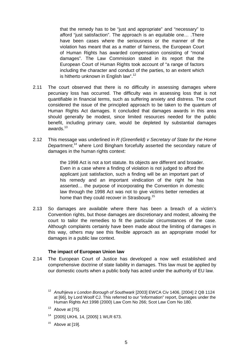that the remedy has to be "just and appropriate" and "necessary" to afford "just satisfaction". The approach is an equitable one… .There have been cases where the seriousness or the manner of the violation has meant that as a matter of fairness, the European Court of Human Rights has awarded compensation consisting of "moral damages". The Law Commission stated in its report that the European Court of Human Rights took account of "a range of factors including the character and conduct of the parties, to an extent which is hitherto unknown in English law".<sup>[12](#page-6-0)</sup>

- 2.11 The court observed that there is no difficulty in assessing damages where pecuniary loss has occurred. The difficulty was in assessing loss that is not quantifiable in financial terms, such as suffering anxiety and distress. The court considered the issue of the principled approach to be taken to the quantum of Human Rights Act damages. It concluded that damages awards in this area should generally be modest, since limited resources needed for the public benefit, including primary care, would be depleted by substantial damages awards.<sup>[13](#page-6-1)</sup>
- 2.12 This message was underlined in *R (Greenfield) v Secretary of State for the Home Department*, [14](#page-6-2) where Lord Bingham forcefully asserted the secondary nature of damages in the human rights context:

the 1998 Act is not a tort statute. Its objects are different and broader. Even in a case where a finding of violation is not judged to afford the applicant just satisfaction, such a finding will be an important part of his remedy and an important vindication of the right he has asserted… the purpose of incorporating the Convention in domestic law through the 1998 Act was not to give victims better remedies at home than they could recover in Strasbourg.<sup>15</sup>

2.13 So damages are available where there has been a breach of a victim's Convention rights, but those damages are discretionary and modest, allowing the court to tailor the remedies to fit the particular circumstances of the case. Although complaints certainly have been made about the limiting of damages in this way, others may see this flexible approach as an appropriate model for damages in a public law context.

#### **The impact of European Union law**

2.14 The European Court of Justice has developed a now well established and comprehensive doctrine of state liability in damages. This law must be applied by our domestic courts when a public body has acted under the authority of EU law.

- <span id="page-6-1"></span> $13$  Above at [75].
- <span id="page-6-2"></span><sup>14</sup> [2005] UKHL 14, [2005] 1 WLR 673.
- <span id="page-6-3"></span> $15$  Above at [19].

<span id="page-6-0"></span><sup>&</sup>lt;sup>12</sup> Anufrijeva v London Borough of Southwark [2003] EWCA Civ 1406, [2004] 2 QB 1124 at [66], by Lord Woolf CJ. This referred to our "information" report, Damages under the Human Rights Act 1998 (2000) Law Com No 266; Scot Law Com No 180.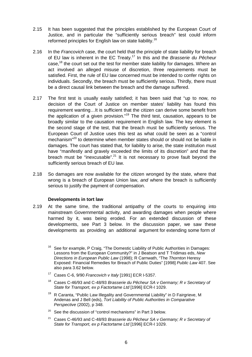- 2.15 It has been suggested that the principles established by the European Court of Justice, and in particular the "sufficiently serious breach" test could inform reformed principles for English law on state liability.[16](#page-7-0)
- 2.16 In the *Francovich* case, the court held that the principle of state liability for breach of EU law is inherent in the EC Treat[y.17](#page-7-1) In this and the *Brasserie du Pêcheur* case.<sup>18</sup> the court set out the test for member state liability for damages. Where an act involved an alleged misuse of discretion, three requirements must be satisfied. First, the rule of EU law concerned must be intended to confer rights on individuals. Secondly, the breach must be sufficiently serious. Thirdly, there must be a direct causal link between the breach and the damage suffered.
- 2.17 The first test is usually easily satisfied; it has been said that "up to now, no decision of the Court of Justice on member states' liability has found this requirement wanting…It is sufficient that the citizen can derive some benefit from the application of a given provision."<sup>19</sup> The third test, causation, appears to be broadly similar to the causation requirement in English law. The key element is the second stage of the test, that the breach must be sufficiently serious. The European Court of Justice uses this test as what could be seen as a "control mechanism<sup>"20</sup> to determine when member states should or should not be liable in damages. The court has stated that, for liability to arise, the state institution must have "manifestly and gravely exceeded the limits of its discretion" and that the breach must be "inexcusable".<sup>21</sup> It is not necessary to prove fault beyond the sufficiently serious breach of EU law.
- 2.18 So damages are now available for the citizen wronged by the state, where that wrong is a breach of European Union law, *and* where the breach is sufficiently serious to justify the payment of compensation.

# **Developments in tort law**

2.19 At the same time, the traditional antipathy of the courts to enquiring into mainstream Governmental activity, and awarding damages when people where harmed by it, was being eroded. For an extended discussion of these developments, see Part 3 below. In the discussion paper, we saw these developments as providing an additional argument for extending some form of

- <span id="page-7-1"></span><sup>17</sup> Cases C-6, 9/90 *Francovich v Italy* [1991] ECR I-5357.
- <span id="page-7-2"></span><sup>18</sup> Cases C-46/93 and C-48/93 *Brasserie du Pêcheur SA v Germany; R v Secretary of State for Transport, ex p Factortame Ltd* [1996] ECR-I 1029.
- <span id="page-7-3"></span> $19$  R Caranta, "Public Law Illegality and Governmental Liability" in D Fairgrieve, M Andenas and J Bell (eds), *Tort Liability of Public Authorities in Comparative Perspective* (2002), p 348.
- <span id="page-7-4"></span> $20$  See the discussion of "control mechanisms" in Part 3 below.
- <span id="page-7-5"></span><sup>21</sup> Cases C-46/93 and C-48/93 *Brasserie du Pêcheur SA v Germany; R v Secretary of State for Transport, ex p Factortame Ltd* [1996] ECR-I 1029.

<span id="page-7-0"></span><sup>&</sup>lt;sup>16</sup> See for example, P Craig, "The Domestic Liability of Public Authorities in Damages: Lessons from the European Community?" in J Beatson and T Tridimas eds, *New Directions in European Public Law* (1998); R Carnwath, "The *Thornton* Heresy Exposed: Financial Remedies for Breach of Public Duties" [1998] *Public Law* 407. See also para 3.62 below.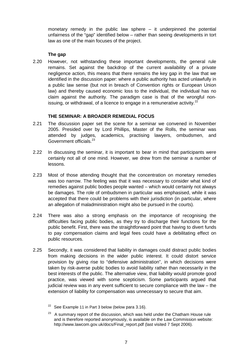monetary remedy in the public law sphere – it underpinned the potential unfairness of the "gap" identified below – rather than seeing developments in tort law as one of the main focuses of the project.

# **The gap**

2.20 However, not withstanding these important developments, the general rule remains. Set against the backdrop of the current availability of a private negligence action, this means that there remains the key gap in the law that we identified in the discussion paper: where a public authority has acted unlawfully in a public law sense (but not in breach of Convention rights or European Union law) and thereby caused economic loss to the individual, the individual has no claim against the authority. The paradigm case is that of the wrongful non-issuing, or withdrawal, of a licence to engage in a remunerative activity.<sup>[22](#page-8-0)</sup>

# **THE SEMINAR: A BROADER REMEDIAL FOCUS**

- 2.21 The discussion paper set the scene for a seminar we convened in November 2005. Presided over by Lord Phillips, Master of the Rolls, the seminar was attended by judges, academics, practising lawyers, ombudsmen, and Government officials.<sup>[23](#page-8-1)</sup>
- 2.22 In discussing the seminar, it is important to bear in mind that participants were certainly not all of one mind. However, we drew from the seminar a number of lessons.
- 2.23 Most of those attending thought that the concentration on monetary remedies was too narrow. The feeling was that it was necessary to consider what kind of remedies against public bodies people wanted – which would certainly not always be damages. The role of ombudsmen in particular was emphasised, while it was accepted that there could be problems with their jurisdiction (in particular, where an allegation of maladministration might also be pursued in the courts).
- 2.24 There was also a strong emphasis on the importance of recognising the difficulties facing public bodies, as they try to discharge their functions for the public benefit. First, there was the straightforward point that having to divert funds to pay compensation claims and legal fees could have a debilitating effect on public resources.
- 2.25 Secondly, it was considered that liability in damages could distract public bodies from making decisions in the wider public interest. It could distort service provision by giving rise to "defensive administration", in which decisions were taken by risk-averse public bodies to avoid liability rather than necessarily in the best interests of the public. The alternative view, that liability would promote good practice, was viewed with some scepticism. Some participants argued that judicial review was in any event sufficient to secure compliance with the law – the extension of liability for compensation was unnecessary to secure that aim.

<span id="page-8-0"></span> $22$  See Example 11 in Part 3 below (below para 3.16).

<span id="page-8-1"></span> $23$  A summary report of the discussion, which was held under the Chatham House rule and is therefore reported anonymously, is available on the Law Commission website: http://www.lawcom.gov.uk/docs/Final\_report.pdf (last visited 7 Sept 2006).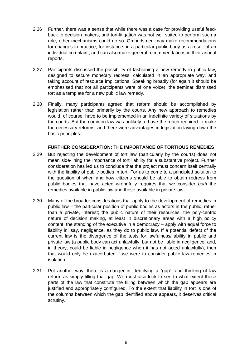- 2.26 Further, there was a sense that while there was a case for providing useful feedback to decision makers, and tort-litigation was not well suited to perform such a role, other mechanisms could do so. Ombudsmen may make recommendations for changes in practice, for instance, in a particular public body as a result of an individual complaint, and can also make general recommendations in their annual reports.
- 2.27 Participants discussed the possibility of fashioning a new remedy in public law, designed to secure monetary redress, calculated in an appropriate way, and taking account of resource implications. Speaking broadly (for again it should be emphasised that not all participants were of one voice), the seminar dismissed tort as a template for a new public law remedy.
- 2.28 Finally, many participants agreed that reform should be accomplished by legislation rather than primarily by the courts. Any new approach to remedies would, of course, have to be implemented in an indefinite variety of situations by the courts. But the common law was unlikely to have the reach required to make the necessary reforms, and there were advantages in legislation laying down the basic principles.

# **FURTHER CONSIDERATION: THE IMPORTANCE OF TORTIOUS REMEDIES**

- 2.29 But rejecting the development of tort law (particularly by the courts) does not mean side-lining the importance of tort liability for a substantive project. Further consideration has led us to conclude that the project must concern itself centrally with the liability of public bodies in tort. For us to come to a principled solution to the question of when and how citizens should be able to obtain redress from public bodies that have acted wrongfully requires that we consider *both* the remedies available in public law and those available in private law.
- 2.30 Many of the broader considerations that apply to the development of remedies in public law – the particular position of public bodies as actors in the public, rather than a private, interest; the public nature of their resources; the poly-centric nature of decision making, at least in discretionary areas with a high policy content; the standing of the executive in a democracy – apply with equal force to liability in, say, negligence, as they do to public law. If a potential defect of the current law is the divergence of the tests for lawfulness/liability in public and private law (a public body can act unlawfully, but not be liable in negligence, and, in theory, could be liable in negligence when it has not acted unlawfully), then that would only be exacerbated if we were to consider public law remedies in isolation.
- 2.31 Put another way, there is a danger in identifying a "gap", and thinking of law reform as simply filling that gap. We must also look to see to what extent those parts of the law that constitute the filling between which the gap appears are justified and appropriately configured. To the extent that liability in tort is one of the columns between which the gap identified above appears, it deserves critical scrutiny.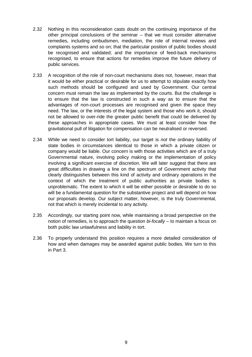- 2.32 Nothing in this reconsideration casts doubt on the continuing importance of the other principal conclusions of the seminar – that we must consider alternative remedies, including ombudsmen, mediation, the role of internal reviews and complaints systems and so on; that the particular position of public bodies should be recognised and validated; and the importance of feed-back mechanisms recognised, to ensure that actions for remedies improve the future delivery of public services.
- 2.33 A recognition of the role of non-court mechanisms does not, however, mean that it would be either practical or desirable for us to attempt to stipulate exactly how such methods should be configured and used by Government. Our central concern must remain the law as implemented by the courts. But the challenge is to ensure that the law is constructed in such a way as to ensure that the advantages of non-court processes are recognised and given the space they need. The law, or the interests of the legal system and those who work it, should not be allowed to over-ride the greater public benefit that could be delivered by these approaches in appropriate cases. We must at least consider how the gravitational pull of litigation for compensation can be neutralised or reversed.
- 2.34 While we need to consider tort liability, our target is *not* the ordinary liability of state bodies in circumstances identical to those in which a private citizen or company would be liable. Our concern is with those activities which are of a truly Governmental nature, involving policy making or the implementation of policy involving a significant exercise of discretion. We will later suggest that there are great difficulties in drawing a line on the spectrum of Government activity that clearly distinguishes between this kind of activity and ordinary operations in the context of which the treatment of public authorities as private bodies is unproblematic. The extent to which it will be either possible or desirable to do so will be a fundamental question for the substantive project and will depend on how our proposals develop. Our subject matter, however, is the truly Governmental, not that which is merely incidental to any activity.
- 2.35 Accordingly, our starting point now, while maintaining a broad perspective on the notion of remedies, is to approach the question *bi-focally* – to maintain a focus on both public law unlawfulness and liability in tort.
- 2.36 To properly understand this position requires a more detailed consideration of how and when damages may be awarded against public bodies. We turn to this in Part 3.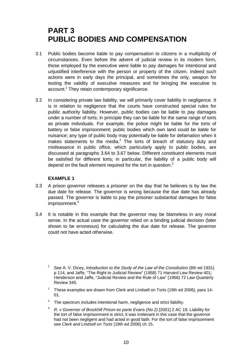# **PART 3 PUBLIC BODIES AND COMPENSATION**

- 3.1 Public bodies become liable to pay compensation to citizens in a multiplicity of circumstances. Even before the advent of judicial review in its modern form, those employed by the executive were liable to pay damages for intentional and unjustified interference with the person or property of the citizen. Indeed such actions were in early days the principal, and sometimes the only, weapon for testing the validity of executive measures and for bringing the executive to account.<sup>[1](#page-11-0)</sup> They retain contemporary significance.
- 3.2 In considering private law liability, we will primarily cover liability in negligence. It is in relation to negligence that the courts have constructed special rules for public authority liability. However, public bodies can be liable to pay damages under a number of torts; in principle they can be liable for the same range of torts as private individuals. For example, the police might be liable for the torts of battery or false imprisonment; public bodies which own land could be liable for nuisance; any type of public body may potentially be liable for defamation when it makes statements to the media. $^2$  The torts of breach of statutory duty and misfeasance in public office, which particularly apply to public bodies, are discussed at paragraphs 3.64 to 3.67 below. Different constituent elements must be satisfied for different torts; in particular, the liability of a public body will depend on the fault element required for the tort in question.<sup>[3](#page-11-2)</sup>

# **EXAMPLE 1**

- 3.3 A prison governor releases a prisoner on the day that he believes is by law the due date for release. The governor is wrong because the due date has already passed. The governor is liable to pay the prisoner substantial damages for false imprisonment.<sup>[4](#page-11-3)</sup>
- <span id="page-11-3"></span><span id="page-11-2"></span><span id="page-11-1"></span><span id="page-11-0"></span>3.4 It is notable in this example that the governor may be blameless in any moral sense. In the actual case the governor relied on a binding judicial decision (later shown to be erroneous) for calculating the due date for release. The governor could not have acted otherwise.
	- <sup>1</sup> See A. V. Dicey, *Introduction to the Study of the Law of the Constitution* (8th ed 1931) p 114, and Jaffe, "The Right to Judicial Review" (1958) 71 Harvard Law Review 401; Henderson and Jaffe, "Judicial Review and the Rule of Law" (1956) 72 Law Quarterly Review 345.
	- <sup>2</sup> These examples are drawn from Clerk and Lindsell on Torts (19th ed 2006), para 14-01.
	- $3$  The spectrum includes intentional harm, negligence and strict liability.
	- <sup>4</sup> *R. v Governor of Brockhill Prison ex parte Evans (No 2)* [2001] 2 AC 19. Liability for the tort of false imprisonment is strict; it was irrelevant in this case that the governor had not been negligent and had acted in good faith. For the tort of false imprisonment see *Clerk and Lindsell on Torts* (19th ed 2006) ch 15.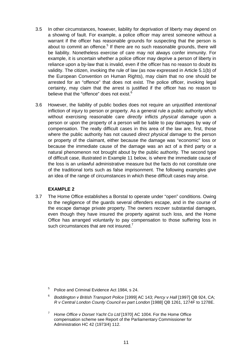- 3.5 In other circumstances, however, liability for deprivation of liberty may depend on a showing of fault. For example, a police officer may arrest someone without a warrant if the officer has reasonable grounds for suspecting that the person is about to commit an offence.<sup>5</sup> If there are no such reasonable grounds, there will be liability. Nonetheless exercise of care may not always confer immunity. For example, it is uncertain whether a police officer may deprive a person of liberty in reliance upon a by-law that is invalid, even if the officer has no reason to doubt its validity. The citizen, invoking the rule of law (as now expressed in Article 5.1(b) of the European Convention on Human Rights), may claim that no one should be arrested for an "offence" that does not exist. The police officer, invoking legal certainty, may claim that the arrest is justified if the officer has no reason to believe that the "offence" does not exist.<sup>[6](#page-12-1)</sup>
- 3.6 However, the liability of public bodies does not require an unjustified *intentional* infliction of injury to person or property. As a general rule a public authority which without exercising reasonable care *directly* inflicts *physical damage* upon a person or upon the property of a person will be liable to pay damages by way of compensation. The really difficult cases in this area of the law are, first, those where the public authority has not caused *direct physical damage* to the person or property of the claimant, either because the damage was "economic" loss or because the immediate cause of the damage was an act of a third party or a natural phenomenon not brought about by the public authority. The second type of difficult case, illustrated in Example 11 below, is where the immediate cause of the loss is an unlawful administrative measure but the facts do not constitute one of the traditional torts such as false imprisonment. The following examples give an idea of the range of circumstances in which these difficult cases may arise.

# **EXAMPLE 2**

3.7 The Home Office establishes a Borstal to operate under "open" conditions. Owing to the negligence of the guards several offenders escape, and in the course of the escape damage private property. The owners recover substantial damages, even though they have insured the property against such loss, and the Home Office has arranged voluntarily to pay compensation to those suffering loss in such circumstances that are not insured.<sup>[7](#page-12-2)</sup>

- <span id="page-12-1"></span><span id="page-12-0"></span><sup>6</sup> *Boddington v British Transport Police* [1999] AC 143; *Percy v Hall* [1997] QB 924, CA; *R v Central London County Council ex part London* [1988] QB 1261, 1274F to 1278E.
- <span id="page-12-2"></span><sup>7</sup> *Home Office v Dorset Yacht Co Ltd* [1970] AC 1004. For the Home Office compensation scheme see Report of the Parliamentary Commissioner for Administration HC 42 (1973/4) 112.

<sup>5</sup> Police and Criminal Evidence Act 1984, s 24.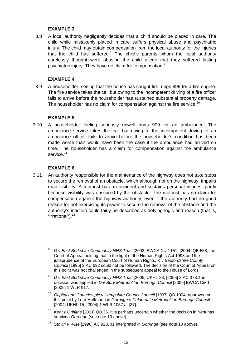# **EXAMPLE 3**

3.8 A local authority negligently decides that a child should be placed in care. The child while mistakenly placed in care suffers physical abuse and psychiatric injury. The child may obtain compensation from the local authority for the injuries that the child has suffered.<sup>8</sup> The child's parents whom the local authority carelessly thought were abusing the child allege that they suffered lasting psychiatric injury. They have no claim for compensation.<sup>[9](#page-13-1)</sup>

# **EXAMPLE 4**

3.9 A householder, seeing that the house has caught fire, rings 999 for a fire engine. The fire service takes the call but owing to the incompetent driving of a fire officer fails to arrive before the householder has sustained substantial property damage. The householder has no claim for compensation against the fire service.<sup>[10](#page-13-2)</sup>

# **EXAMPLE 5**

3.10 A householder feeling seriously unwell rings 999 for an ambulance. The ambulance service takes the call but owing to the incompetent driving of an ambulance officer fails to arrive before the householder's condition has been made worse than would have been the case if the ambulance had arrived on time. The householder has a claim for compensation against the ambulance service.<sup>[11](#page-13-3)</sup>

# **EXAMPLE 6**

- <span id="page-13-4"></span><span id="page-13-3"></span><span id="page-13-2"></span><span id="page-13-1"></span><span id="page-13-0"></span>3.11 An authority responsible for the maintenance of the highway does not take steps to secure the removal of an obstacle, which although not on the highway, impairs road visibility. A motorist has an accident and sustains personal injuries, partly because visibility was obscured by the obstacle. The motorist has no claim for compensation against the highway authority, even if the authority had no good reason for not exercising its power to secure the removal of the obstacle and the authority's inaction could fairly be described as defying logic and reason (that is, "irrational"). $12$ 
	- <sup>8</sup> *D v East Berkshire Community NHS Trust* [2003] EWCA Civ 1151, [2004] QB 558, the Court of Appeal holding that in the light of the Human Rights Act 1998 and the jurisprudence of the European Court of Human Rights, X *v Bedfordshire County Council* [1995] 2 AC 632 could not be followed. The decision of the Court of Appeal on this point was not challenged in the subsequent appeal to the House of Lords.
	- <sup>9</sup> *D v East Berkshire Community NHS Trust* [2005] UKHL 23, [2005] 2 AC 373.The decision was applied in *D v Bury Metropolitan Borough Council* [2006] EWCA Civ 1, [2006] 1 WLR 917.
	- <sup>10</sup> Capital and Counties plc v Hampshire County Council [1997] QB 1004, approved on this point by Lord Hoffmann in *Gorringe v Calderdale Metropolitan Borough Council* [2004] UKHL 15, [2004] 1 WLR 1057 at [37].
	- <sup>11</sup> *Kent v Griffiths* [2001] QB 36. It is perhaps uncertain whether the decision in *Kent* has survived *Gorringe* (see note 10 above).
	- <sup>12</sup> *Stovin v Wise* [1996] AC 923, as interpreted in *Gorringe* (see note 10 above).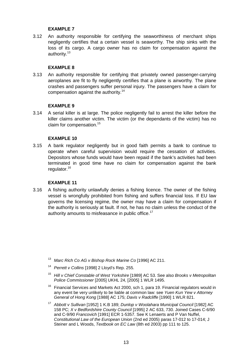# **EXAMPLE 7**

3.12 An authority responsible for certifying the seaworthiness of merchant ships negligently certifies that a certain vessel is seaworthy. The ship sinks with the loss of its cargo. A cargo owner has no claim for compensation against the authority.<sup>[13](#page-14-0)</sup>

# **EXAMPLE 8**

3.13 An authority responsible for certifying that privately owned passenger-carrying aeroplanes are fit to fly negligently certifies that a plane is airworthy. The plane crashes and passengers suffer personal injury. The passengers have a claim for compensation against the authority.<sup>[14](#page-14-1)</sup>

# **EXAMPLE 9**

3.14 A serial killer is at large. The police negligently fail to arrest the killer before the killer claims another victim. The victim (or the dependants of the victim) has no claim for compensation.<sup>[15](#page-14-2)</sup>

# **EXAMPLE 10**

3.15 A bank regulator negligently but in good faith permits a bank to continue to operate when careful supervision would require the cessation of activities. Depositors whose funds would have been repaid if the bank's activities had been terminated in good time have no claim for compensation against the bank regulator.<sup>[16](#page-14-3)</sup>

# **EXAMPLE 11**

3.16 A fishing authority unlawfully denies a fishing licence. The owner of the fishing vessel is wrongfully prohibited from fishing and suffers financial loss. If EU law governs the licensing regime, the owner may have a claim for compensation if the authority is seriously at fault. If not, he has no claim unless the conduct of the authority amounts to misfeasance in public office.<sup>[17](#page-14-4)</sup>

- <span id="page-14-0"></span><sup>13</sup> *Marc Rich Co AG v Bishop Rock Marine Co* [1996] AC 211.
- <span id="page-14-1"></span><sup>14</sup> *Perrett v Collins* [1998] 2 Lloyd's Rep. 255.
- <span id="page-14-2"></span><sup>15</sup> *Hill v Chief Constable of West Yorkshire* [1989] AC 53. See also *Brooks v Metropolitan Police Commissioner* [2005] UKHL 24, [2005] 1 WLR 1495.
- <span id="page-14-3"></span> $16$  Financial Services and Markets Act 2000, sch 1, para 19. Financial regulators would in any event be very unlikely to be liable at common law: see *Yuen Kun Yew v Attorney General of Hong Kong* [1988] AC 175; *Davis v Radcliffe* [1990] 1 WLR 821.
- <span id="page-14-4"></span><sup>17</sup> *Abbott v Sullivan* [1952] 1 K.B 189; *Dunlop v Woolahara Municipal Council* [1982] AC 158 PC; *X v Bedfordshire County Council* [1995] 2 AC 633, 730. Joined Cases C-6/90 and C-9/90 *Francovich* [1991] ECR 1-5357. See K Lenaerts and P Van Nuffel, *Constitutional Law of the European Union* (2nd ed 2005) paras 17-012 to 17-014; J Steiner and L Woods, *Textbook on EC Law* (8th ed 2003) pp 111 to 125.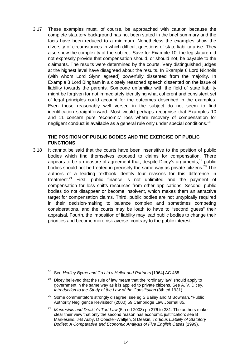3.17 These examples must, of course, be approached with caution because the complete statutory background has not been stated in the brief summary and the facts have been reduced to a minimum. Nonetheless the examples show the diversity of circumstances in which difficult questions of state liability arise. They also show the complexity of the subject. Save for Example 10, the legislature did not expressly provide that compensation should, or should not, be payable to the claimants. The results were determined by the courts. Very distinguished judges at the highest level have disagreed about the results. In Example 6 Lord Nicholls (with whom Lord Slynn agreed) powerfully dissented from the majority. In Example 3 Lord Bingham in a closely reasoned speech dissented on the issue of liability towards the parents. Someone unfamiliar with the field of state liability might be forgiven for not immediately identifying what coherent and consistent set of legal principles could account for the outcomes described in the examples. Even those reasonably well versed in the subject do not seem to find identification straightforward. Most would perhaps recognise that Examples 10 and 11 concern pure "economic" loss where recovery of compensation for negligent conduct is available as a general rule only under special conditions.<sup>[18](#page-15-0)</sup>

# **THE POSITION OF PUBLIC BODIES AND THE EXERCISE OF PUBLIC FUNCTIONS**

3.18 It cannot be said that the courts have been insensitive to the position of public bodies which find themselves exposed to claims for compensation. There appears to be a measure of agreement that, despite Dicey's arguments,<sup>19</sup> public bodies should not be treated in precisely the same way as private citizens.<sup>20</sup> The authors of a leading textbook identify four reasons for this difference in treatment. $21$  First, public finance is not unlimited and the payment of compensation for loss shifts resources from other applications. Second, public bodies do not disappear or become insolvent, which makes them an attractive target for compensation claims. Third, public bodies are not untypically required in their decision-making to balance complex and sometimes competing considerations, and the courts may be loath to have to "second guess" their appraisal. Fourth, the imposition of liability may lead public bodies to change their priorities and become more risk averse, contrary to the public interest.

<span id="page-15-3"></span><sup>21</sup> *Markesinis and Deakin's Tort Law* (5th ed 2003) pp 376 to 381. The authors make clear their view that only the second reason has economic justification: see B Markesinis, J-B Auby, D Coester-Waltjen, S Deakin, *Tortious Liability of Statutory Bodies: A Comparative and Economic Analysis of Five English Cases* (1999).

<span id="page-15-0"></span><sup>18</sup> See *Hedley Byrne and Co Ltd v Heller and Partners* [1964] AC 465.

<span id="page-15-1"></span>Dicey believed that the rule of law meant that the "ordinary law" should apply to government in the same way as it is applied to private citizens. See A. V. Dicey, *Introduction to the Study of the Law of the Constitution (8th ed 1931).* 

<span id="page-15-2"></span> $20$  Some commentators strongly disagree: see eg S Bailey and M Bowman, "Public Authority Negligence Revisited" (2000) 59 Cambridge Law Journal 85.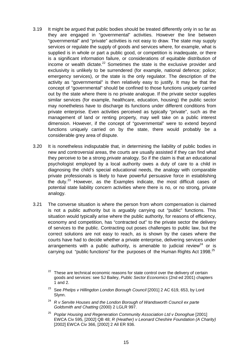- 3.19 It might be argued that public bodies should be treated differently only in so far as they are engaged in "governmental" activities. However the line between "governmental" and "private" activities is not easy to draw. The state may supply services or regulate the supply of goods and services where, for example, what is supplied is in whole or part a public good, or competition is inadequate, or there is a significant information failure, or considerations of equitable distribution of income or wealth dictate.<sup>22</sup> Sometimes the state is the exclusive provider and exclusivity is unlikely to be surrendered (for example, national defence; police; emergency services), or the state is the only regulator. The description of the activity as "governmental" is then relatively easy to justify. It may be that the concept of "governmental" should be confined to those functions *uniquely* carried out by the state where there is no private analogue. If the private sector supplies similar services (for example, healthcare, education, housing) the public sector may nonetheless have to discharge its functions under different conditions from private enterprise. Even activities perceived as typically "private", such as the management of land or renting property, may well take on a public interest dimension. However, if the concept of "governmental" were to extend beyond functions uniquely carried on by the state, there would probably be a considerable grey area of dispute.
- 3.20 It is nonetheless indisputable that, in determining the liability of public bodies in new and controversial areas, the courts are usually assisted if they can find what they perceive to be a strong *private* analogy. So if the claim is that an educational psychologist employed by a local authority owes a duty of care to a child in diagnosing the child's special educational needs, the analogy with comparable private professionals is likely to have powerful persuasive force in establishing the duty. $23$  However, as the Examples indicate, the most difficult cases of potential state liability concern activities where there is no, or no strong, private analogy.
- 3.21 The converse situation is where the person from whom compensation is claimed is not a public authority but is arguably carrying out "public" functions. This situation would typically arise where the public authority, for reasons of efficiency, economy and competition, has "contracted out" to the private sector the delivery of services to the public. Contracting out poses challenges to public law, but the correct solutions are not easy to reach, as is shown by the cases where the courts have had to decide whether a private enterprise, delivering services under arrangements with a public authority, is amenable to judicial review<sup>24</sup> or is carrying out "public functions" for the purposes of the Human Rights Act 1998.<sup>[25](#page-16-3)</sup>

- <span id="page-16-2"></span><sup>24</sup> *R v Servite Houses and the London Borough of Wandsworth Council ex parte Goldsmith and Chatting* (2000) 2 LGLR 997.
- <span id="page-16-3"></span><sup>25</sup> *Poplar Housing and Regeneration Community Association Ltd v Donoghue* [2001] EWCA Civ 595, [2002] QB 48; *R (Heather) v Leonard Cheshire Foundation (A Charity)* [2002] EWCA Civ 366, [2002] 2 All ER 936.

<span id="page-16-0"></span> $22$  These are technical economic reasons for state control over the delivery of certain goods and services: see SJ Bailey, *Public Sector Economics* (2nd ed 2001) chapters 1 and 2.

<span id="page-16-1"></span><sup>&</sup>lt;sup>23</sup> See *Phelps v Hillingdon London Borough Council* [2001] 2 AC 619, 653, by Lord Slynn.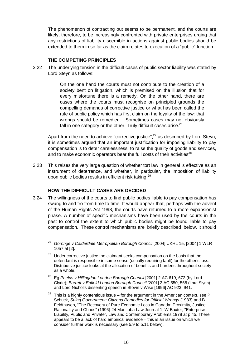The phenomenon of contracting out seems to be permanent, and the courts are likely, therefore, to be increasingly confronted with private enterprises urging that any restrictions of liability discernible in actions against public bodies should be extended to them in so far as the claim relates to execution of a "public" function.

# **THE COMPETING PRINCIPLES**

3.22 The underlying tension in the difficult cases of public sector liability was stated by Lord Steyn as follows:

> On the one hand the courts must not contribute to the creation of a society bent on litigation, which is premised on the illusion that for every misfortune there is a remedy. On the other hand, there are cases where the courts must recognise on principled grounds the compelling demands of corrective justice or what has been called the rule of public policy which has first claim on the loyalty of the law: that wrongs should be remedied….Sometimes cases may not obviously fall in one category or the other. Truly difficult cases arise. $26$

Apart from the need to achieve "corrective justice", $27$  as described by Lord Steyn, it is sometimes argued that an important justification for imposing liability to pay compensation is to deter carelessness, to raise the quality of goods and services, and to make economic operators bear the full costs of their activities<sup>[28](#page-17-2)</sup>

3.23 This raises the very large question of whether tort law in general is effective as an instrument of deterrence, and whether, in particular, the imposition of liability upon public bodies results in efficient risk taking.<sup>[29](#page-17-3)</sup>

# **HOW THE DIFFICULT CASES ARE DECIDED**

- <span id="page-17-3"></span><span id="page-17-2"></span><span id="page-17-1"></span><span id="page-17-0"></span>3.24 The willingness of the courts to find public bodies liable to pay compensation has swung to and fro from time to time. It would appear that, perhaps with the advent of the Human Rights Act 1998, the courts have returned to a more expansionist phase. A number of specific mechanisms have been used by the courts in the past to control the extent to which public bodies might be found liable to pay compensation. These control mechanisms are briefly described below. It should
	- <sup>26</sup> Gorringe v Calderdale Metropolitan Borough Council [2004] UKHL 15, [2004] 1 WLR 1057 at [2].
	- $27$  Under corrective justice the claimant seeks compensation on the basis that the defendant is responsible in some sense (usually requiring fault) for the other's loss. Distributive justice looks at the allocation of benefits and burdens throughout society as a whole.
	- <sup>28</sup> Eg Phelps v Hillingdon London Borough Council [2001] 2 AC 619, 672 (by Lord Clyde); *Barrett v Enfield London Borough Council* [2001] 2 AC 550, 568 (Lord Slynn) and Lord Nicholls dissenting speech in Stovin v Wise [1996] AC 923, 941.
	- $29$  This is a highly contentious issue for the argument in the American context, see P Schuck, *Suing Government: Citizens Remedies for Official Wrongs* (1983) and B Feldthusen, "The Recovery of Pure Economic Loss in Canada: Proximity, Justice, Rationality and Chaos" (1996) 24 Manitoba Law Journal 1; W Baxter, "Enterprise Liability, Public and Private", Law and Contemporary Problems 1978 at p 45. There appears to be a lack of hard empirical evidence – this is an issue on which we consider further work is necessary (see 5.9 to 5.11 below).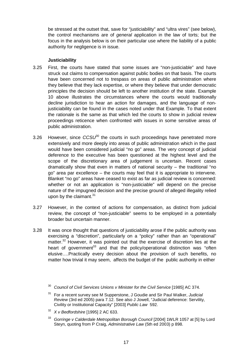be stressed at the outset that, save for "justiciability" and "ultra vires" (see below), the control mechanisms are of *general* application in the law of torts; but the focus in the analysis below is on their particular use where the liability of a public authority for negligence is in issue.

# **Justiciability**

- 3.25 First, the courts have stated that some issues are "non-justiciable" and have struck out claims to compensation against public bodies on that basis. The courts have been concerned not to trespass on areas of public administration where they believe that they lack expertise, or where they believe that under democratic principles the decision should be left to another institution of the state. Example 10 above illustrates the circumstances where the courts would traditionally decline jurisdiction to hear an action for damages, and the language of nonjusticiability can be found in the cases noted under that Example. To that extent the rationale is the same as that which led the courts to show in judicial review proceedings reticence when confronted with issues in some sensitive areas of public administration.
- 3.26 However, since  $CCSU^{30}$  the courts in such proceedings have penetrated more extensively and more deeply into areas of public administration which in the past would have been considered judicial "no go" areas. The very concept of judicial deference to the executive has been questioned at the highest level and the scope of the discretionary area of judgement is uncertain. Recent cases dramatically show that even in matters of national security – the traditional "no go" area par excellence – the courts may feel that it is appropriate to intervene. Blanket "no go" areas have ceased to exist as far as judicial review is concerned: whether or not an application is "non-justiciable" will depend on the precise nature of the impugned decision and the precise ground of alleged illegality relied upon by the claimant. $31$
- 3.27 However, in the context of actions for compensation, as distinct from judicial review, the concept of "non-justiciable" seems to be employed in a potentially broader but uncertain manner.
- 3.28 It was once thought that questions of justiciability arose if the public authority was exercising a "discretion", particularly on a "policy" rather than an "operational" matter.<sup>32</sup> However, it was pointed out that the exercise of discretion lies at the heart of government<sup>33</sup> and that the policy/operational distinction was "often elusive….Practically every decision about the provision of such benefits, no matter how trivial it may seem, affects the budget of the public authority in either

- <span id="page-18-2"></span><sup>32</sup> *X v Bedfordshire* [1995] 2 AC 633.
- <span id="page-18-3"></span><sup>33</sup> Gorringe v Calderdale Metropolitan Borough Council [2004] 1WLR 1057 at [5] by Lord Steyn, quoting from P Craig, *Administrative Law* (5th ed 2003) p 898.

<span id="page-18-0"></span><sup>30</sup> *Council of Civil Services Unions v Minister for the Civil Service* [1985] AC 374.

<span id="page-18-1"></span><sup>31</sup> For a recent survey see M Supperstone, J Goudie and Sir Paul Walker, *Judicial Review* (3rd ed 2005) para 7.12. See also J Jowell, "Judicial deference: Servility, Civility or Institutional Capacity" [2003] *Public Law* 592.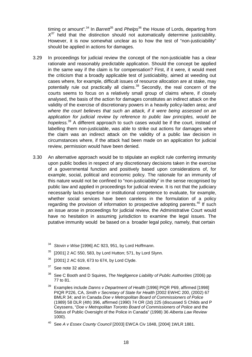timing or amount".<sup>34</sup> In *Barrett*<sup>35</sup> and *Phelps*<sup>[36](#page-19-2)</sup> the House of Lords, departing from  $X^{37}$  held that the distinction should not automatically determine justiciability. However, it is now somewhat unclear as to how the test of "non-justiciability" should be applied in actions for damages.

- 3.29 In proceedings for judicial review the concept of the non-justiciable has a clear rationale and reasonably predictable application. Should the concept be applied in the same way if the claim is for compensation? First, if it were, it would meet the criticism that a broadly applicable test of justiciability, aimed at weeding out cases where, for example, difficult issues of resource allocation are at stake, may potentially rule out practically all claims.<sup>38</sup> Secondly, the real concern of the courts seems to focus on a relatively small group of claims where, if closely analysed, the basis of the action for damages constitutes an indirect attack on the validity of the exercise of discretionary powers in a heavily policy-laden area; *and where the court believes that such an attack, if it were being assessed on an application for judicial review by reference to public law principles, would be hopeless.*[39](#page-19-5) A different approach to such cases would be if the court, instead of labelling them non-justiciable, was able to strike out actions for damages where the claim was an indirect attack on the validity of a public law decision in circumstances where, if the attack had been made on an application for judicial review, permission would have been denied.
- <span id="page-19-6"></span><span id="page-19-5"></span><span id="page-19-4"></span><span id="page-19-3"></span><span id="page-19-2"></span><span id="page-19-1"></span><span id="page-19-0"></span>3.30 An alternative approach would be to stipulate an explicit rule conferring immunity upon public bodies in respect of any discretionary decisions taken in the exercise of a governmental function and positively based upon considerations of, for example, social, political and economic policy. The rationale for an immunity of this nature would not be confined to "non-justiciability" in the sense recognised by public law and applied in proceedings for judicial review. It is not that the judiciary necessarily lacks expertise or institutional competence to evaluate, for example, whether social services have been careless in the formulation of a policy regarding the provision of information to prospective adopting parents.<sup>40</sup> If such an issue arose in proceedings for judicial review, the Administrative Court would have no hesitation in assuming jurisdiction to examine the legal issues. The putative immunity would be based on a broader legal policy, namely, that certain
	- <sup>34</sup> *Stovin v Wise* [1996] AC 923, 951, by Lord Hoffmann.
	- $35$  [2001] 2 AC 550, 583, by Lord Hutton; 571, by Lord Slynn.
	- $36$  [2001] 2 AC 619, 673 to 674, by Lord Clyde.
	- $37$  See note 32 above.
	- <sup>38</sup> See C Booth and D Squires, *The Negligence Liability of Public Authorities* (2006) pp 77 to 81.
	- <sup>39</sup> Examples include *Danns v Department of Health* [1996] PIQR P69, affirmed [1998] PIQR P226, CA, *Smith v Secretary of State for Health* [2002 EWHC 200, (2002) 67 BMLR 34; and in Canada *Doe v Metropolitan Board of Commissioners of Police* (1989) 58 DLR (4th) 396, affirmed (1990) 74 OR (2d) 225 (discussed S Childs and P Ceyssens, "*Doe v Metropolitan Toronto Board of Commissioners of Police* and the Status of Public Oversight of the Police in Canada" (1998) 36 *Alberta Law Review* 1000).
	- <sup>40</sup> See *A v Essex County Council* [2003] EWCA Civ 1848, [2004] 1WLR 1881.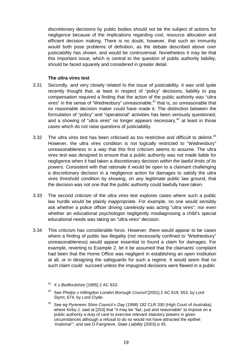discretionary decisions by public bodies should not be the subject of actions for negligence because of the implications regarding cost, resource allocation and efficient decision making. There is no doubt, however, that such an immunity would both pose problems of definition, as the debate described above over justiciability has shown, and would be controversial. Nonetheless it may be that this important issue, which is central to the question of public authority liability, should be faced squarely and considered in greater detail.

# **The ultra vires test**

- 3.31 Secondly, and very closely related to the issue of justiciability, it was until quite recently thought that, at least in respect of "policy" decisions, liability to pay compensation required a finding that the action of the public authority was "ultra vires" in the sense of "Wednesbury" unreasonable, $41$  that is, so unreasonable that no reasonable decision maker could have made it. The distinction between the formulation of "policy" and "operational" activities has been seriously questioned, and a showing of "ultra vires" no longer appears necessary, $42$  at least in those cases which do not raise questions of justiciability.
- 3.32 The ultra vires test has been criticised as too restrictive and difficult to delimit.<sup>[43](#page-20-2)</sup> However, the ultra vires condition is not logically restricted to "Wednesbury" unreasonableness in a way that this first criticism seems to assume. The ultra vires test was designed to ensure that a public authority was not made liable for negligence when it had taken a discretionary decision *within the lawful limits of its powers.* Consistent with that rationale it would be open to a claimant challenging a discretionary decision in a negligence action for damages to satisfy the ultra vires threshold condition by showing, on *any* legitimate public law ground, that the decision was not one that the public authority could lawfully have taken.
- 3.33 The second criticism of the ultra vires test explores cases where such a public law hurdle would be plainly inappropriate. For example, no one would sensibly ask whether a police officer driving carelessly was acting "ultra vires"; nor even whether an educational psychologist negligently misdiagnosing a child's special educational needs was taking an "ultra vires" decision.
- <span id="page-20-2"></span><span id="page-20-1"></span><span id="page-20-0"></span>3.34 This criticism has considerable force. However, there would appear to be cases where a finding of public law illegality (not necessarily confined to "Wednesbury" unreasonableness) would appear essential to found a claim for damages. For example, reverting to Example 2, let it be assumed that the claimants' complaint had been that the Home Office was negligent in establishing an open institution at all, or in designing the safeguards for such a regime. It would seem that no such claim could succeed unless the impugned decisions were flawed in a public
	- <sup>41</sup> *X v Bedfordshire* [1995] 2 AC 633.
	- <sup>42</sup> See *Phelps v Hillingdon London Borough Council* [2001] 2 AC 619, 653, by Lord Slynn; 674, by Lord Clyde.
	- <sup>43</sup> See eg *Pyrenees Shire Council v Day* (1998) 192 CLR 330 (High Court of Australia), where Kirby J. said at [253] that "it may be "fair, just and reasonable" to impose on a public authority a duty of care to exercise relevant statutory powers in given circumstances although a refusal to do so would not have attracted the epithet 'irrational'"; and see D Fairgrieve, *State Liability* (2003) p 45.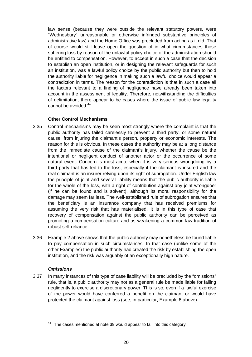law sense (because they were outside the relevant statutory powers, were "Wednesbury" unreasonable or otherwise infringed substantive principles of administrative law) and the Home Office was precluded from acting as it did. That of course would still leave open the question of in what circumstances those suffering loss by reason of the unlawful policy choice of the administration should be entitled to compensation. However, to accept in such a case that the decision to establish an open institution, or in designing the relevant safeguards for such an institution, was a lawful policy choice by the public authority but then to hold the authority liable for negligence in making such a lawful choice would appear a contradiction in terms. The reason for the contradiction is that in such a case all the factors relevant to a finding of negligence have already been taken into account in the assessment of legality. Therefore, notwithstanding the difficulties of delimitation, there appear to be cases where the issue of public law legality cannot be avoided.<sup>[44](#page-21-0)</sup>

# **Other Control Mechanisms**

- 3.35 Control mechanisms may be seen most strongly where the complaint is that the public authority has failed carelessly to prevent a third party, or some natural cause, from injuring the claimant's person, property or economic interests. The reason for this is obvious. In these cases the authority may be at a long distance from the immediate cause of the claimant's injury, whether the cause be the intentional or negligent conduct of another actor or the occurrence of some natural event. Concern is most acute when it is very serious wrongdoing by a third party that has led to the loss, especially if the claimant is insured and the real claimant is an insurer relying upon its right of subrogation. Under English law the principle of joint and several liability means that the public authority is liable for the whole of the loss, with a right of contribution against any joint wrongdoer (if he can be found and is solvent), although its moral responsibility for the damage may seem far less. The well-established rule of subrogation ensures that the beneficiary is an insurance company that has received premiums for assuming the very risk that has materialised. It is in this type of case that recovery of compensation against the public authority can be perceived as promoting a compensation culture and as weakening a common law tradition of robust self-reliance.
- 3.36 Example 2 above shows that the public authority may nonetheless be found liable to pay compensation in such circumstances. In that case (unlike some of the other Examples) the public authority had created the risk by establishing the open institution, and the risk was arguably of an exceptionally high nature.

# *Omissions*

3.37 In many instances of this type of case liability will be precluded by the "omissions" rule, that is, a public authority may not as a general rule be made liable for failing negligently to exercise a discretionary power. This is so, even if a lawful exercise of the power would have conferred a benefit on the claimant or would have protected the claimant against loss (see, in particular, Example 6 above).

<span id="page-21-0"></span>The cases mentioned at note 39 would appear to fall into this category.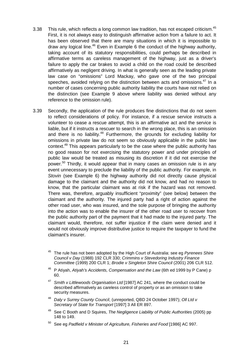- 3.38 This rule, which reflects a long common law tradition, has not escaped criticism.<sup>[45](#page-22-0)</sup> First, it is not always easy to distinguish affirmative action from a failure to act. It has been observed that there are many situations in which it is impossible to draw any logical line.<sup>46</sup> Even in Example 6 the conduct of the highway authority, taking account of its statutory responsibilities, could perhaps be described in affirmative terms as careless management of the highway, just as a driver's failure to apply the car brakes to avoid a child on the road could be described affirmatively as negligent driving. In what is generally seen as the leading private law case on "omissions" Lord Mackay, who gave one of the two principal speeches, avoided relying on the distinction between acts and omissions.<sup>47</sup> In a number of cases concerning public authority liability the courts have not relied on the distinction (see Example 9 above where liability was denied without any reference to the omission rule).
- <span id="page-22-5"></span><span id="page-22-4"></span><span id="page-22-3"></span><span id="page-22-2"></span><span id="page-22-1"></span><span id="page-22-0"></span>3.39 Secondly, the application of the rule produces fine distinctions that do not seem to reflect considerations of policy. For instance, if a rescue service instructs a volunteer to cease a rescue attempt, this is an affirmative act and the service is liable, but if it instructs a rescuer to search in the wrong place, this is an omission and there is no liability.<sup>48</sup> Furthermore, the grounds for excluding liability for omissions in private law do not seem so obviously applicable in the public law context.<sup>49</sup> This appears particularly to be the case where the public authority has no good reason for not exercising the statutory power and under principles of public law would be treated as misusing its discretion if it did not exercise the power.<sup>50</sup> Thirdly, it would appear that in many cases an omission rule is in any event unnecessary to preclude the liability of the public authority. For example, in *Stovin* (see Example 6) the highway authority did not directly cause physical damage to the claimant and the authority did not know, and had no reason to know, that the particular claimant was at risk if the hazard was not removed. There was, therefore, arguably insufficient "proximity" (see below) between the claimant and the authority. The injured party had a right of action against the other road user, who was insured, and the sole purpose of bringing the authority into the action was to enable the insurer of the other road user to recover from the public authority part of the payment that it had made to the injured party. The claimant would, therefore, not suffer injustice if the claim were denied and it would not obviously improve distributive justice to require the taxpayer to fund the claimant's insurer.
	- <sup>45</sup> The rule has not been adopted by the High Court of Australia: see eg *Pyrenees Shire Council v Day* (1988) 192 CLR 330; *Crimmins v Stevedoring Industry Finance Committee* (1999) 200 CLR 1; *Brodie v Singleton Shire Council* (2001) 206 CLR 512.
	- <sup>46</sup> P Atiyah, *Atiyah's Accidents, Compensation and the Law* (6th ed 1999 by P Cane) p 60.
	- <sup>47</sup> *Smith v Littlewoods Organisation Ltd* [1987] AC 241, where the conduct could be described affirmatively as careless control of property or as an omission to take security measures.
	- <sup>48</sup> *Daly v Surrey County Council*, (unreported, QBD 24 October 1997); *Oll Ltd v Secretary of State for Transport* [1997] 3 All ER 897.
	- <sup>49</sup> See C Booth and D Squires, *The Negligence Liability of Public Authorities* (2005) pp 148 to 149.
	- <sup>50</sup> See eg *Padfield v Minister of Agriculture, Fisheries and Food* [1986] AC 997.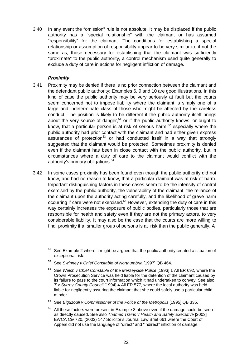3.40 In any event the "omission" rule is not absolute. It may be displaced if the public authority has a "special relationship" with the claimant or has assumed "responsibility" for the claimant. The conditions for establishing a special relationship or assumption of responsibility appear to be very similar to, if not the same as, those necessary for establishing that the claimant was sufficiently "proximate" to the public authority, a control mechanism used quite generally to exclude a duty of care in actions for negligent infliction of damage.

# *Proximity*

- 3.41 Proximity may be denied if there is no prior connection between the claimant and the defendant public authority; Examples 6, 9 and 10 are good illustrations. In this kind of case the public authority may be very seriously at fault but the courts seem concerned not to impose liability where the claimant is simply one of a large and indeterminate class of those who might be affected by the careless conduct. The position is likely to be different if the public authority itself brings about the very source of danger,<sup>51</sup> or if the public authority knows, or ought to know, that a particular person is at risk of serious harm,<sup>52</sup> especially where the public authority had prior contact with the claimant and had either given express assurances of protection<sup>53</sup> or had conducted itself in a way that strongly suggested that the claimant would be protected. Sometimes proximity is denied even if the claimant has been in close contact with the public authority, but in circumstances where a duty of care to the claimant would conflict with the authority's primary obligations.<sup>[54](#page-23-3)</sup>
- 3.42 In some cases proximity has been found even though the public authority did not know, and had no reason to know, that a particular claimant was at risk of harm. Important distinguishing factors in these cases seem to be the intensity of control exercised by the public authority, the vulnerability of the claimant, the reliance of the claimant upon the authority acting carefully, and the likelihood of grave harm occurring if care were not exercised. $55$  However, extending the duty of care in this way certainly increases the exposure of public bodies, particularly those that are responsible for health and safety even if they are not the primary actors, to very considerable liability. It may also be the case that the courts are more willing to find proximity if a smaller group of persons is at risk than the public generally. A

- <span id="page-23-1"></span><sup>52</sup> See *Swinney v Chief Constable of Northumbria* [1997] QB 464.
- <span id="page-23-2"></span><sup>53</sup> See *Welsh v Chief Constable of the Merseyside Police* [1993] 1 All ER 692, where the Crown Prosecution Service was held liable for the detention of the claimant caused by its failure to pass to the court information which it had undertaken to convey. See also *T v Surrey County Council* [1994] 4 All ER 577, where the local authority was held liable for negligently assuring the claimant that she could safely use a particular child minder.
- <span id="page-23-3"></span><sup>54</sup> See *Elguzouli v Commissioner of the Police of the Metropolis* [1995] QB 335.
- <span id="page-23-4"></span><sup>55</sup> All these factors were present in Example 8 above even if the damage could be seen as directly caused. See also *Thames Trains v Health and Safety Executive* [2003] EWCA Civ 720, (2003) 147 Solicitor's Journal Law Brief 661 where the Court of Appeal did not use the language of "direct" and "indirect" infliction of damage.

<span id="page-23-0"></span><sup>51</sup> See Example 2 where it might be argued that the public authority created a situation of exceptional risk.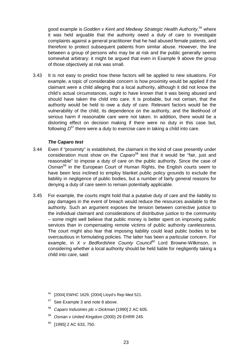good example is *Godden v Kent and Medway Strategic Health Authority*, [56](#page-24-0) where it was held arguable that the authority owed a duty of care to investigate complaints against a general practitioner that he had abused female patients, and therefore to protect subsequent patients from similar abuse. However, the line between a group of persons who may be at risk and the public generally seems somewhat arbitrary: it might be argued that even in Example 9 above the group of those objectively at risk was small.

3.43 It is not easy to predict how these factors will be applied to new situations. For example, a topic of considerable concern is how proximity would be applied if the claimant were a child alleging that a local authority, although it did not know the child's actual circumstances, ought to have known that it was being abused and should have taken the child into care. It is probable, but not certain, that the authority would be held to owe a duty of care. Relevant factors would be the vulnerability of the child, its dependence on the authority, and the likelihood of serious harm if reasonable care were not taken. In addition, there would be a distorting effect on decision making if there were no duty in this case but, following *D*[57 t](#page-24-1)here were a duty to exercise care in taking a child into care.

#### *The* **Caparo** *test*

- 3.44 Even if "proximity" is established, the claimant in the kind of case presently under consideration must show on the *Caparo*<sup>[58](#page-24-2)</sup> test that it would be "fair, just and reasonable" to impose a duty of care on the public authority. Since the case of *Osman*[59](#page-24-3) in the European Court of Human Rights, the English courts seem to have been less inclined to employ blanket public policy grounds to exclude the liability in negligence of public bodies, but a number of fairly general reasons for denying a duty of care seem to remain potentially applicable.
- 3.45 For example, the courts might hold that a putative duty of care and the liability to pay damages in the event of breach would reduce the resources available to the authority. Such an argument exposes the tension between corrective justice to the individual claimant and considerations of distributive justice to the community – some might well believe that public money is better spent on improving public services than in compensating remote victims of public authority carelessness. The court might also fear that imposing liability could lead public bodies to be overcautious in formulating policies. The latter has been a particular concern. For example, in *X v Bedfordshire County Counci<sup>60</sup>* Lord Browne-Wilkinson, in considering whether a local authority should be held liable for negligently taking a child into care, said:

- <span id="page-24-1"></span> $57$  See Example 3 and note 8 above.
- <span id="page-24-2"></span><sup>58</sup> *Caparo Industries plc v Dickman* [1990] 2 AC 605.
- <span id="page-24-3"></span><sup>59</sup> *Osman v United Kingdom* (2000) 29 EHRR 245.
- <span id="page-24-4"></span> $60$  [1995] 2 AC 633, 750.

<span id="page-24-0"></span><sup>56</sup> [2004] EWHC 1629, [2004] Lloyd's Rep Med 521.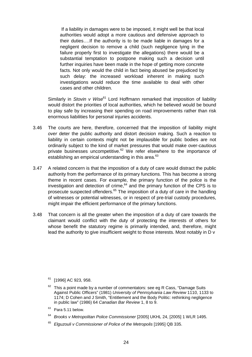If a liability in damages were to be imposed, it might well be that local authorities would adopt a more cautious and defensive approach to their duties….If the authority is to be made liable in damages for a negligent decision to remove a child (such negligence lying in the failure properly first to investigate the allegations) there would be a substantial temptation to postpone making such a decision until further inquiries have been made in the hope of getting more concrete facts. Not only would the child in fact being abused be prejudiced by such delay: the increased workload inherent in making such investigations would reduce the time available to deal with other cases and other children.

Similarly in *Stovin v Wise*<sup>61</sup> Lord Hoffmann remarked that imposition of liability would distort the priorities of local authorities, which he believed would be bound to play safe by increasing their spending on road improvements rather than risk enormous liabilities for personal injuries accidents.

- 3.46 The courts are here, therefore, concerned that the imposition of liability might *over* deter the public authority and distort decision making. Such a reaction to liability in certain contexts might not be implausible for public bodies are not ordinarily subject to the kind of market pressures that would make over-cautious private businesses uncompetitive. $62$  We refer elsewhere to the importance of establishing an empirical understanding in this area.<sup>[63](#page-25-2)</sup>
- 3.47 A related concern is that the imposition of a duty of care would distract the public authority from the performance of its primary functions. This has become a strong theme in recent cases. For example, the primary function of the police is the investigation and detection of crime, $64$  and the primary function of the CPS is to prosecute suspected offenders.<sup>65</sup> The imposition of a duty of care in the handling of witnesses or potential witnesses, or in respect of pre-trial custody procedures, might impair the efficient performance of the primary functions.
- 3.48 That concern is all the greater when the imposition of a duty of care towards the claimant would conflict with the duty of protecting the interests of others for whose benefit the statutory regime is primarily intended, and, therefore, might lead the authority to give insufficient weight to those interests. Most notably in D v

- <span id="page-25-2"></span> $63$  Para 5.11 below.
- <span id="page-25-3"></span><sup>64</sup> *Brooks v Metropolitan Police Commissioner* [2005] UKHL 24, [2005] 1 WLR 1495.
- <span id="page-25-4"></span><sup>65</sup> *Elguzouli v Commissioner of Police of the Metropolis* [1995] QB 335.

<span id="page-25-0"></span> $61$  [1996] AC 923, 958.

<span id="page-25-1"></span> $62$  This a point made by a number of commentators: see eg R Cass, "Damage Suits Against Public Officers" (1981) *University of Pennsylvania Law Review* 1110, 1133 to 1174; D Cohen and J Smith, "Entitlement and the Body Politic: rethinking negligence in public law" (1986) 64 *Canadian Bar Review* 1, 8 to 9.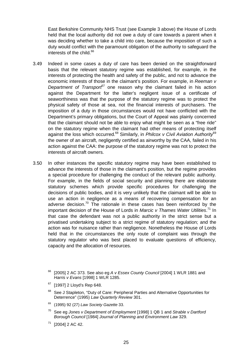East Berkshire Community NHS Trust (see Example 3 above) the House of Lords held that the local authority did not owe a duty of care towards a parent when it was deciding whether to take a child into care, because the imposition of such a duty would conflict with the paramount obligation of the authority to safeguard the interests of the child. $66$ 

- 3.49 Indeed in some cases a duty of care has been denied on the straightforward basis that the relevant statutory regime was established, for example, in the interests of protecting the health and safety of the public, and not to advance the economic interests of those in the claimant's position. For example, in *Reeman v Department of Transport<sup>[67](#page-26-1)</sup>* one reason why the claimant failed in his action against the Department for the latter's negligent issue of a certificate of seaworthiness was that the purpose of the statutory regime was to protect the physical safety of those at sea, not the financial interests of purchasers. The imposition of a duty in those circumstances would not have conflicted with the Department's primary obligations, but the Court of Appeal was plainly concerned that the claimant should not be able to enjoy what might be seen as a "free ride" on the statutory regime when the claimant had other means of protecting itself against the loss which occurred.<sup>68</sup> Similarly, in *Philcox v Civil Aviation Authority*<sup>[69](#page-26-3)</sup> the owner of an aircraft, negligently certified as airworthy by the CAA, failed in his action against the CAA: the purpose of the statutory regime was not to protect the interests of aircraft owners.
- <span id="page-26-5"></span><span id="page-26-4"></span><span id="page-26-3"></span><span id="page-26-2"></span><span id="page-26-1"></span><span id="page-26-0"></span>3.50 In other instances the specific statutory regime may have been established to advance the interests of those in the claimant's position, but the regime provides a special procedure for challenging the conduct of the relevant public authority. For example, in the fields of social security and planning there are elaborate statutory schemes which provide specific procedures for challenging the decisions of public bodies, and it is very unlikely that the claimant will be able to use an action in negligence as a means of recovering compensation for an adverse decision.<sup>70</sup> The rationale in these cases has been reinforced by the important decision of the House of Lords in *Marcic v Thames Water Utilities*. [71](#page-26-5) In that case the defendant was not a public authority in the strict sense but a privatised undertaking subject to a strict regime of statutory regulation; and the action was for nuisance rather than negligence. Nonetheless the House of Lords held that in the circumstances the only route of complaint was through the statutory regulator who was best placed to evaluate questions of efficiency, capacity and the allocation of resources.
	- <sup>66</sup> [2005] 2 AC 373. See also eg *A v Essex County Council* [2004] 1 WLR 1881 and *Harris v Evans* [1998] 1 WLR 1285.
	- $67$  [1997] 2 Lloyd's Rep 648.
	- <sup>68</sup> See J Stapleton, "Duty of Care: Peripheral Parties and Alternative Opportunities for Deterrence" (1995) *Law Quarterly Review* 301.
	- <sup>69</sup> (1995) 92 (27) *Law Society Gazette* 33.
	- <sup>70</sup> See eg *Jones v Department of Employment* [1998] 1 QB 1 and *Strable v Dartford Borough Council* [1984] *Journal of Planning and Environment Law* 329.
	- $71$  [2004] 2 AC 42.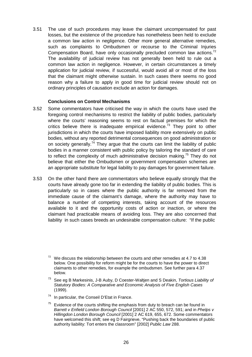3.51 The use of such procedures may leave the claimant uncompensated for past losses, but the existence of the procedure has nonetheless been held to exclude a common law action in negligence. Other more general alternative remedies, such as complaints to Ombudsmen or recourse to the Criminal Injuries Compensation Board, have only occasionally precluded common law actions.<sup>[72](#page-27-0)</sup> The availability of judicial review has not generally been held to rule out a common law action in negligence. However, in certain circumstances a timely application for judicial review, if successful, would avoid all or most of the loss that the claimant might otherwise sustain. In such cases there seems no good reason why a failure to apply in good time for judicial review should not on ordinary principles of causation exclude an action for damages.

#### **Conclusions on Control Mechanisms**

- 3.52 Some commentators have criticised the way in which the courts have used the foregoing control mechanisms to restrict the liability of public bodies, particularly where the courts' reasoning seems to rest on factual premises for which the critics believe there is inadequate empirical evidence.<sup>73</sup> They point to other jurisdictions in which the courts have imposed liability more extensively on public bodies, without any reported detrimental consequences on good administration or on society generally.<sup>74</sup> They argue that the courts can limit the liability of public bodies in a manner consistent with public policy by tailoring the standard of care to reflect the complexity of much administrative decision making.<sup>75</sup> They do not believe that either the Ombudsmen or government compensation schemes are an appropriate substitute for legal liability to pay damages for government failure.
- 3.53 On the other hand there are commentators who believe equally strongly that the courts have already gone too far in extending the liability of public bodies. This is particularly so in cases where the public authority is far removed from the immediate cause of the claimant's damage, where the authority may have to balance a number of competing interests, taking account of the resources available to it and the opportunity costs of action or inaction, or where the claimant had practicable means of avoiding loss. They are also concerned that liability in such cases breeds an undesirable compensation culture: "If the public

- <span id="page-27-1"></span><sup>73</sup> See eg B Markesinis, J-B Auby, D Coester-Waltjen and S Deakin, *Tortious Liability of Statutory Bodies: A Comparative and Economic Analysis of Five English Cases* (1999).
- <span id="page-27-2"></span><sup>74</sup> In particular, the Conseil D'Etat in France.
- <span id="page-27-3"></span>Evidence of the courts shifting the emphasis from duty to breach can be found in *Barrett v Enfield London Borough Council* [2001] 2 AC 550, 572, 591; and in *Phelps v Hillingdon London Borough Council* [2001] 2 AC 619, 655, 672. Some commentators have welcomed this shift; see eg D Fairgrieve, "Pushing back the boundaries of public authority liability: Tort enters the classroom" [2002] *Public Law* 288.

<span id="page-27-0"></span> $72$  We discuss the relationship between the courts and other remedies at 4.7 to 4.38 below. One possibility for reform might be for the courts to have the power to direct claimants to other remedies, for example the ombudsmen. See further para 4.37 below.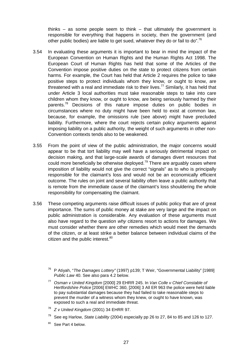thinks – as some people seem to think – that ultimately the government is responsible for everything that happens in society, then the government (and other public bodies) are liable to get sued, whatever they do or fail to do".<sup>[76](#page-28-0)</sup>

- 3.54 In evaluating these arguments it is important to bear in mind the impact of the European Convention on Human Rights and the Human Rights Act 1998. The European Court of Human Rights has held that some of the Articles of the Convention impose positive duties on the state to protect citizens from certain harms. For example, the Court has held that Article 2 requires the police to take positive steps to protect individuals whom they know, or ought to know, are threatened with a real and immediate risk to their lives.<sup>77</sup> Similarly, it has held that under Article 3 local authorities must take reasonable steps to take into care children whom they know, or ought to know, are being seriously harmed by their parents.<sup>78</sup> Decisions of this nature impose duties on public bodies in circumstances where no duty might have been held to exist at common law, because, for example, the omissions rule (see above) might have precluded liability. Furthermore, where the court rejects certain policy arguments against imposing liability on a public authority, the weight of such arguments in other non-Convention contexts tends also to be weakened.
- 3.55 From the point of view of the public administration, the major concerns would appear to be that tort liability may well have a seriously detrimental impact on decision making, and that large-scale awards of damages divert resources that could more beneficially be otherwise deployed.<sup>79</sup> There are arguably cases where imposition of liability would not give the correct "signals" as to who is principally responsible for the claimant's loss and would not be an economically efficient outcome. The rules on joint and several liability often leave a public authority that is remote from the immediate cause of the claimant's loss shouldering the whole responsibility for compensating the claimant.
- <span id="page-28-4"></span><span id="page-28-3"></span><span id="page-28-2"></span><span id="page-28-1"></span><span id="page-28-0"></span>3.56 These competing arguments raise difficult issues of public policy that are of great importance. The sums of public money at stake are very large and the impact on public administration is considerable. Any evaluation of these arguments must also have regard to the question *why* citizens resort to actions for damages. We must consider whether there are other remedies which would meet the demands of the citizen, or at least strike a better balance between individual claims of the citizen and the public interest.<sup>[80](#page-28-4)</sup>
	- <sup>76</sup> P Atiyah, "*The Damages Lottery"* (1997) p139; T Weir, "Governmental Liability" [1989] *Public Law* 40. See also para 4.2 below.
	- <sup>77</sup> *Osman v United Kingdom* [2000] 29 EHRR 245. In *Van Colle v Chief Constable of Hertfordshire Police* [2006] EWHC 360, [2006] 3 All ER 963 the police were held liable to pay substantial damages because they had failed to take reasonable steps to prevent the murder of a witness whom they knew, or ought to have known, was exposed to such a real and immediate threat.
	- <sup>78</sup> *Z v United Kingdom* (2001) 34 EHRR 97.
	- <sup>79</sup> See eg Harlow, *State Liability* (2004) especially pp 26 to 27, 84 to 85 and 126 to 127.
	- <sup>80</sup> See Part 4 below.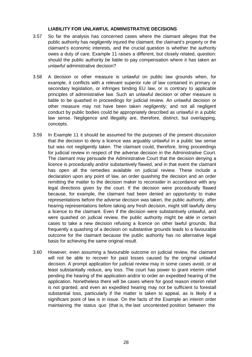# **LIABILITY FOR UNLAWFUL ADMINISTRATIVE DECISIONS**

- 3.57 So far the analysis has concerned cases where the claimant alleges that the public authority has *negligently* injured the claimant, the claimant's property or the claimant's economic interests, and the crucial question is whether the authority owes a duty of care. Example 11 raises a different, but closely related, question: should the public authority be liable to pay compensation where it has taken an *unlawful* administrative decision?
- 3.58 A decision or other measure is unlawful on public law grounds when, for example, it conflicts with a relevant superior rule of law contained in primary or secondary legislation, or infringes binding EU law, or is contrary to applicable principles of administrative law. Such an unlawful decision or other measure is liable to be quashed in proceedings for judicial review. An unlawful decision or other measure may not have been taken *negligently;* and not all negligent conduct by public bodies could be appropriately described as unlawful in a public law sense. Negligence and illegality are, therefore, distinct, but overlapping, concepts.
- 3.59 In Example 11 it should be assumed for the purposes of the present discussion that the decision to deny a licence was arguably unlawful in a public law sense but was not negligently taken. The claimant could, therefore, bring proceedings for judicial review in respect of the adverse decision in the Administrative Court. The claimant may persuade the Administrative Court that the decision denying a licence is procedurally and/or substantively flawed, and in that event the claimant has open all the remedies available on judicial review. These include a declaration upon any point of law, an order quashing the decision and an order remitting the matter to the decision maker to reconsider in accordance with any legal directions given by the court. If the decision were procedurally flawed because, for example, the claimant had been denied an opportunity to make representations before the adverse decision was taken, the public authority, after hearing representations before taking any fresh decision, might still lawfully deny a licence to the claimant. Even if the decision were substantively unlawful, and were quashed on judicial review, the public authority might be able in certain cases to take a new decision refusing a licence on other lawful grounds. But frequently a quashing of a decision on substantive grounds leads to a favourable outcome for the claimant because the public authority has no alternative legal basis for achieving the same original result.
- 3.60 However, even assuming a favourable outcome on judicial review, the claimant will not be able to recover for past losses caused by the original unlawful decision. A prompt application for judicial review may in some cases avoid, or at least substantially reduce, any loss. The court has power to grant interim relief pending the hearing of the application and/or to order an expedited hearing of the application. Nonetheless there will be cases where for good reason interim relief is not granted, and even an expedited hearing may not be sufficient to forestall substantial loss, particularly if the matter is taken to appeal, as is likely if a significant point of law is in issue. On the facts of the Example an interim order maintaining the status quo (that is, the last uncontested position between the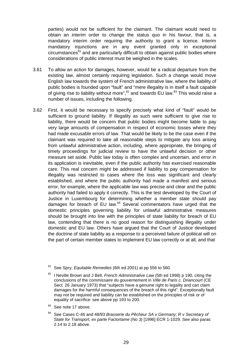parties) would not be sufficient for the claimant. The claimant would need to obtain an interim order to change the status quo in his favour, that is, a mandatory interim order requiring the authority to grant a licence. Interim mandatory injunctions are in any event granted only in exceptional  $circumstance<sup>81</sup>$  and are particularly difficult to obtain against public bodies where considerations of public interest must be weighed in the scales.

- 3.61 To allow an action for damages, however, would be a radical departure from the existing law, almost certainly requiring legislation. Such a change would move English law towards the system of French administrative law, where the liability of public bodies is founded upon "fault" and "mere illegality is in itself a fault capable of giving rise to liability without more", $82$  and towards EU law. $83$  This would raise a number of issues, including the following.
- 3.62 First, it would be necessary to specify precisely what kind of "fault" would be sufficient to ground liability. If illegality as such were sufficient to give rise to liability, there would be concern that public bodies might become liable to pay very large amounts of compensation in respect of economic losses where they had made excusable errors of law. That would be likely to be the case even if the claimant was required to take all reasonable steps to mitigate any loss arising from unlawful administrative action, including, where appropriate, the bringing of timely proceedings for judicial review to have the unlawful decision or other measure set aside. Public law today is often complex and uncertain, and error in its application is inevitable, even if the public authority has exercised reasonable care. This real concern might be addressed if liability to pay compensation for illegality was restricted to cases where the loss was significant and clearly established, and where the public authority had made a manifest and serious error, for example, where the applicable law was precise and clear and the public authority had failed to apply it correctly. This is the test developed by the Court of Justice in Luxembourg for determining whether a member state should pay damages for breach of EU law.<sup>84</sup> Several commentators have urged that the domestic principles governing liability for unlawful administrative measures should be brought into line with the principles of state liability for breach of EU law, contending that there is no good reason for distinguishing illegality under domestic and EU law. Others have argued that the Court of Justice developed the doctrine of state liability as a response to a perceived failure of political will on the part of certain member states to implement EU law correctly or at all, and that

<span id="page-30-2"></span><sup>83</sup> See note 17 above.

<span id="page-30-0"></span><sup>81</sup> See Spry, *Equitable Remedies* (6th ed 2001) at pp 556 to 560.

<span id="page-30-1"></span><sup>82</sup> l Neville Brown and J Bell, *French Administrative Law* (5th ed 1998) p 190, citing the conclusions of the *commissaire du gouvernement* in *Ville de Paris c. Driancourt* (CE Sect. 26 January 1973) that "subjects have a genuine right to legality and can claim damages for the harmful consequences of the breach of this right". Exceptionally fault may not be required and liability can be established on the principles of risk or of equality of sacrifice: see above pp 193 to 200.

<span id="page-30-3"></span><sup>84</sup> See Cases C-46 and 48/93 *Brasserie du Pêcheur SA v Germany; R v Secretary of State for Transport, ex parte Factortame (No 3)* [1996] ECR 1-1029. See also paras 2.14 to 2.18 above.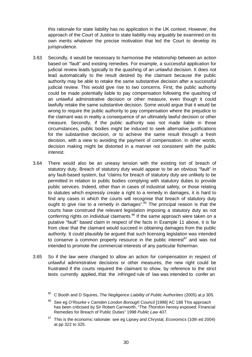this rationale for state liability has no application in the UK context. However, the approach of the Court of Justice to state liability may arguably be examined on its own merits whatever the precise motivation that led the Court to develop its jurisprudence.

- 3.63 Secondly, it would be necessary to harmonise the relationship between an action based on "fault" and existing remedies. For example, a successful application for judicial review leads typically to the quashing of an unlawful decision. It does not lead automatically to the result desired by the claimant because the public authority may be able to retake the same substantive decision after a successful judicial review. This would give rise to two concerns. First, the public authority could be made potentially liable to pay compensation following the quashing of an unlawful administrative decision or other measure, even though it could lawfully retake the same substantive decision. Some would argue that it would be wrong to require the public authority to pay compensation where the prejudice to the claimant was in reality a consequence of an ultimately lawful decision or other measure. Secondly, if the public authority was not made liable in those circumstances, public bodies might be induced to seek alternative justifications for the substantive decision, or to achieve the same result through a fresh decision, with a view to avoiding the payment of compensation. In other words, decision making might be distorted in a manner not consistent with the public interest.
- 3.64 There would also be an uneasy tension with the existing tort of breach of statutory duty. Breach of statutory duty would appear to be an obvious "fault" in any fault-based system, but "claims for breach of statutory duty are unlikely to be permitted in relation to public bodies complying with statutory duties to provide public services. Indeed, other than in cases of industrial safety, or those relating to statutes which expressly create a right to a remedy in damages, it is hard to find any cases in which the courts will recognise that breach of statutory duty ought to give rise to a remedy in damages".<sup>85</sup> The principal reason is that the courts have construed the relevant legislation imposing a statutory duty as not conferring rights on individual claimants. $86$  If the same approach were taken on a putative "fault" based claim in respect of the facts in Example 11 above, it is far from clear that the claimant would succeed in obtaining damages from the public authority. It could plausibly be argued that such licensing legislation was intended to conserve a common property resource in the public interest $87$  and was not intended to promote the commercial interests of any particular fisherman.
- 3.65 So if the law were changed to allow an action for compensation in respect of unlawful administrative decisions or other measures, the new right could be frustrated if the courts required the claimant to show, by reference to the strict tests currently applied, that the infringed rule of law was intended to confer an

<span id="page-31-0"></span><sup>85</sup> C Booth and D Squires, *The Negligence Liability of Public Authorities* (2005) at p 305.

<span id="page-31-1"></span><sup>86</sup> See eg *O'Rourke v Camden London Borough Council* [1998] AC 188 This approach has been criticised by Sir Robert Carnworth, "The *Thornton* heresy exposed: Financial Remedies for Breach of Public Duties" 1998 *Public Law* 407.

<span id="page-31-2"></span><sup>87</sup> This is the economic rationale: see eg Lipsey and Chrystal, *Economics* (10th ed 2004) at pp 322 to 325.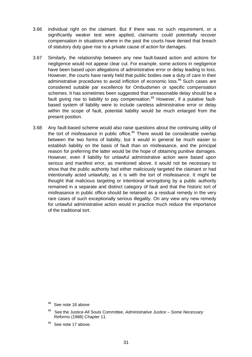- 3.66 individual right on the claimant. But if there was no such requirement, or a significantly weaker test were applied, claimants could potentially recover compensation in situations where in the past the courts have denied that breach of statutory duty gave rise to a private cause of action for damages.
- 3.67 Similarly, the relationship between any new fault-based action and actions for negligence would not appear clear cut. For example, some actions in negligence have been based upon allegations of administrative error or delay leading to loss. However, the courts have rarely held that public bodies owe a duty of care in their administrative procedures to avoid infliction of economic loss.<sup>88</sup> Such cases are considered suitable par excellence for Ombudsmen or specific compensation schemes. It has sometimes been suggested that unreasonable delay should be a fault giving rise to liability to pay compensation. $89$  However, if a putative faultbased system of liability were to include careless administrative error or delay within the scope of fault, potential liability would be much enlarged from the present position.
- 3.68 Any fault-based scheme would also raise questions about the continuing utility of the tort of misfeasance in public office. $90$  There would be considerable overlap between the two forms of liability, but it would in general be much easier to establish liability on the basis of fault than on misfeasance, and the principal reason for preferring the latter would be the hope of obtaining punitive damages. However, even if liability for unlawful administrative action were based upon serious and manifest error, as mentioned above, it would not be necessary to show that the public authority had either maliciously targeted the claimant or had intentionally acted unlawfully, as it is with the tort of misfeasance. It might be thought that malicious targeting or intentional wrongdoing by a public authority remained in a separate and distinct category of fault and that the historic tort of misfeasance in public office should be retained as a residual remedy in the very rare cases of such exceptionally serious illegality. On any view any new remedy for unlawful administrative action would in practice much reduce the importance of the traditional tort.

- <span id="page-32-0"></span>88 See note 18 above
- <span id="page-32-1"></span><sup>89</sup> See the Justice-All Souls Committee, *Administrative Justice – Some Necessary Reforms* (1988) Chapter 11.
- <span id="page-32-2"></span> $90$  See note 17 above.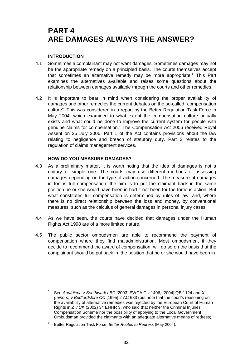# **PART 4 ARE DAMAGES ALWAYS THE ANSWER?**

# **INTRODUCTION**

- 4.1 Sometimes a complainant may not want damages. Sometimes damages may not be the appropriate remedy on a principled basis. The courts themselves accept that sometimes an alternative remedy may be more appropriate.<sup>1</sup> This Part examines the alternatives available and raises some questions about the relationship between damages available through the courts and other remedies.
- 4.2 It is important to bear in mind when considering the proper availability of damages and other remedies the current debates on the so-called "compensation culture". This was considered in a report by the Better Regulation Task Force in May 2004, which examined to what extent the compensation culture actually exists and what could be done to improve the current system for people with genuine claims for compensation.<sup>[2](#page-33-1)</sup> The Compensation Act 2006 received Royal Assent on 25 July 2006. Part 1 of the Act contains provisions about the law relating to negligence and breach of statutory duty. Part 2 relates to the regulation of claims management services.

# **HOW DO YOU MEASURE DAMAGES?**

- 4.3 As a preliminary matter, it is worth noting that the idea of damages is not a unitary or simple one. The courts may use different methods of assessing damages depending on the type of action concerned. The measure of damages in tort is full compensation: the aim is to put the claimant back in the same position he or she would have been in had it not been for the tortious action. But what constitutes full compensation is determined by rules of law, and, where there is no direct relationship between the loss and money, by conventional measures, such as the calculus of general damages in personal injury cases.
- 4.4 As we have seen, the courts have decided that damages under the Human Rights Act 1998 are of a more limited nature.
- 4.5 The public sector ombudsmen are able to recommend the payment of compensation where they find maladministration. Most ombudsmen, if they decide to recommend the award of compensation, will do so on the basis that the complainant should be put back in the position that he or she would have been in

<span id="page-33-0"></span><sup>1</sup> See *Anufrijeva v Southwark LBC* [2003] EWCA Civ 1406, [2004] QB 1124 and *X (minors) v Bedfordshire CC* [1995] 2 AC 633 (but note that the court's reasoning on the availability of alternative remedies was rejected by the European Court of Human Rights in *Z v UK* (2002) 34 EHHR 3, who said that neither the Criminal Injuries Compensation Scheme nor the possibility of applying to the Local Government Ombudsman provided the claimants with an adequate alternative means of redress).

<span id="page-33-1"></span><sup>2</sup> Better Regulation Task Force, *Better Routes to Redress* (May 2004).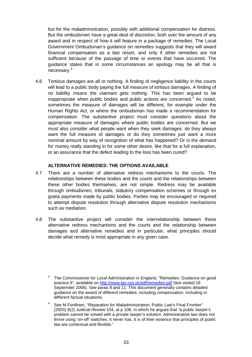but for the maladministration, possibly with additional compensation for distress. But the ombudsmen have a great deal of discretion, both over the amount of any award and in respect of how it will feature in a package of remedies. The Local Government Ombudsman's guidance on remedies suggests that they will award financial compensation as a last resort, and only if other remedies are not sufficient because of the passage of time or events that have occurred. The guidance states that in some circumstances an apology may be all that is necessary.[3](#page-34-0)

4.6 Tortious damages are all or nothing. A finding of negligence liability in the courts will lead to a public body paying the full measure of tortious damages. A finding of no liability means the claimant gets nothing. This has been argued to be inappropriate when public bodies and public actions are concerned.<sup>4</sup> As noted, sometimes the measure of damages will be different, for example under the Human Rights Act, or where the ombudsman has made a recommendation for compensation. The substantive project must consider questions about the appropriate measure of damages where public bodies are concerned. But we must also consider what people want when they seek damages: do they always want the full measure of damages or do they sometimes just want a more nominal amount by way of recognition of what has happened? Or is the demand for money really standing in for some other desire, like that for a full explanation, or an assurance that the defect leading to the loss has been cured?

# **ALTERNATIVE REMEDIES: THE OPTIONS AVAILABLE**

- 4.7 There are a number of alternative redress mechanisms to the courts. The relationships between these bodies and the courts and the relationships between these other bodies themselves, are not simple. Redress may be available through ombudsmen, tribunals, statutory compensation schemes or through ex gratia payments made by public bodies. Parties may be encouraged or required to attempt dispute resolution through alternative dispute resolution mechanisms such as mediation.
- 4.8 The substantive project will consider the interrelationship between these alternative redress mechanisms and the courts and the relationship between damages and alternative remedies and in particular, what principles should decide what remedy is most appropriate in any given case.

<span id="page-34-0"></span> $3$  The Commissioner for Local Administration in England, "Remedies: Guidance on good practice 6", available on http://www.lgo.org.uk/pdf/remedies.pdf (last visited 18 September 2006). See paras 8 and 11. This document generally contains detailed guidance on the award of different remedies, including compensation, including in different factual situations.

<span id="page-34-1"></span>See M Fordham, "Reparation for Maladministration: Public Law's Final Frontier" (2003) 8(2) *Judicial Review* 104, at p 106, in which he argues that "a public lawyer's problem cannot be solved with a private lawyer's solution. Administrative law does not thrive using 'on-off' switches. It never has. It is of their essence that principles of public law are contextual and flexible."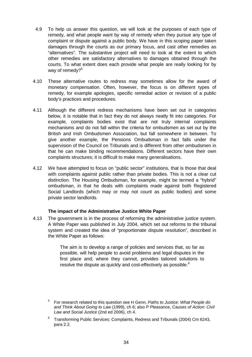- 4.9 To help us answer this question, we will look at the purposes of each type of remedy, and what people want by way of remedy when they pursue any type of complaint or dispute against a public body. We have in this scoping paper taken damages through the courts as our primary focus, and cast other remedies as "alternatives". The substantive project will need to look at the extent to which other remedies are satisfactory alternatives to damages obtained through the courts. To what extent does each provide what people are really looking for by way of remedy? $5$
- 4.10 These alternative routes to redress may sometimes allow for the award of monetary compensation. Often, however, the focus is on different types of remedy, for example apologies, specific remedial action or revision of a public body's practices and procedures.
- 4.11 Although the different redress mechanisms have been set out in categories below, it is notable that in fact they do not always neatly fit into categories. For example, complaints bodies exist that are not truly internal complaints mechanisms and do not fall within the criteria for ombudsmen as set out by the British and Irish Ombudsmen Association, but fall somewhere in between. To give another example, the Pensions Ombudsman in fact falls under the supervision of the Council on Tribunals and is different from other ombudsmen in that he can make binding recommendations. Different sectors have their own complaints structures; it is difficult to make many generalisations.
- 4.12 We have attempted to focus on "public sector" institutions, that is those that deal with complaints against public rather than private bodies. This is not a clear cut distinction. The Housing Ombudsman, for example, might be termed a "hybrid" ombudsman, in that he deals with complaints made against both Registered Social Landlords (which may or may not count as public bodies) and some private sector landlords.

# **The impact of the Administrative Justice White Paper**

4.13 The government is in the process of reforming the administrative justice system. A White Paper was published in July 2004, which set out reforms to the tribunal system and created the idea of "proportionate dispute resolution", described in the White Paper as follows:

> The aim is to develop a range of policies and services that, so far as possible, will help people to avoid problems and legal disputes in the first place and; where they cannot, provides tailored solutions to resolve the dispute as quickly and cost-effectively as possible.<sup>[6](#page-35-1)</sup>

- <span id="page-35-0"></span><sup>5</sup> For research related to this question see H Genn, *Paths to Justice: What People do and Think About Going to Law* (1999), ch 6; also P Pleasance, *Causes of Action: Civil Law and Social Justice* (2nd ed 2006), ch 4.
- <span id="page-35-1"></span> $6$  Transforming Public Services: Complaints, Redress and Tribunals (2004) Cm 6243, para 2.2.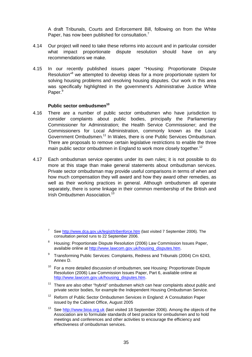A draft Tribunals, Courts and Enforcement Bill, following on from the White Paper, has now been published for consultation.<sup>[7](#page-36-0)</sup>

- 4.14 Our project will need to take these reforms into account and in particular consider what impact proportionate dispute resolution should have on any recommendations we make.
- 4.15 In our recently published issues paper "Housing: Proportionate Dispute Resolution<sup>38</sup>we attempted to develop ideas for a more proportionate system for solving housing problems and resolving housing disputes. Our work in this area was specifically highlighted in the government's Administrative Justice White Paper.<sup>[9](#page-36-2)</sup>

#### **Public sector ombudsmen[10](#page-36-3)**

- 4.16 There are a number of public sector ombudsmen who have jurisdiction to consider complaints about public bodies, principally the Parliamentary Commissioner for Administration; the Health Service Commissioner; and the Commissioners for Local Administration, commonly known as the Local Government Ombudsmen.<sup>11</sup> In Wales, there is one Public Services Ombudsman. There are proposals to remove certain legislative restrictions to enable the three main public sector ombudsmen in England to work more closely together.<sup>[12](#page-36-5)</sup>
- 4.17 Each ombudsman service operates under its own rules; it is not possible to do more at this stage than make general statements about ombudsman services. Private sector ombudsman may provide useful comparisons in terms of when and how much compensation they will award and how they award other remedies, as well as their working practices in general. Although ombudsmen all operate separately, there is some linkage in their common membership of the British and Irish Ombudsmen Association.<sup>[13](#page-36-6)</sup>

- <span id="page-36-1"></span><sup>8</sup> Housing: Proportionate Dispute Resolution (2006) Law Commission Issues Paper, available online at http://www.lawcom.gov.uk/housing\_disputes.htm.
- <span id="page-36-2"></span><sup>9</sup> Transforming Public Services: Complaints, Redress and Tribunals (2004) Cm 6243, Annex D.
- <span id="page-36-3"></span> $10$  For a more detailed discussion of ombudsmen, see Housing: Proportionate Dispute Resolution (2006) Law Commission Issues Paper, Part 6, available online at http://www.lawcom.gov.uk/housing\_disputes.htm.
- <span id="page-36-4"></span> $11$  There are also other "hybrid" ombudsmen which can hear complaints about public and private sector bodies, for example the Independent Housing Ombudsman Service.
- <span id="page-36-5"></span><sup>12</sup> Reform of Public Sector Ombudsmen Services in England: A Consultation Paper issued by the Cabinet Office, August 2005
- <span id="page-36-6"></span><sup>13</sup> See http://www.bioa.org.uk (last visited 18 September 2006). Among the objects of the Association are to formulate standards of best practice for ombudsmen and to hold meetings and conferences and other activities to encourage the efficiency and effectiveness of ombudsman services.

<span id="page-36-0"></span><sup>&</sup>lt;sup>7</sup> See http://www.dca.gov.uk/legist/tribenforce.htm (last visited 7 September 2006). The consultation period runs to 22 September 2006.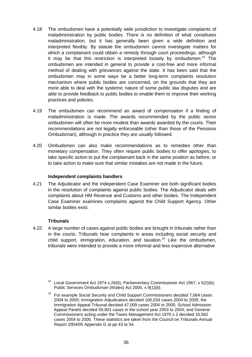- 4.18 The ombudsmen have a potentially wide jurisdiction to investigate complaints of maladministration by public bodies. There is no definition of what constitutes maladministration, but it has generally been given a wide definition and interpreted flexibly. By statute the ombudsmen cannot investigate matters for which a complainant could obtain a remedy through court proceedings, although it may be that this restriction is interpreted loosely by ombudsmen.<sup>14</sup> The ombudsmen are intended in general to provide a cost-free and more informal method of dealing with grievances against the state. It has been said that the ombudsmen may in some ways be a better long-term complaints resolution mechanism where public bodies are concerned, on the grounds that they are more able to deal with the systemic nature of some public law disputes and are able to provide feedback to public bodies to enable them to improve their working practices and policies.
- 4.19 The ombudsmen can recommend an award of compensation if a finding of maladministration is made. The awards recommended by the public sector ombudsmen will often be more modest than awards awarded by the courts. Their recommendations are not legally enforceable (other than those of the Pensions Ombudsman), although in practice they are usually followed.
- 4.20 Ombudsmen can also make recommendations as to remedies other than monetary compensation. They often require public bodies to offer apologies, to take specific action to put the complainant back in the same position as before, or to take action to make sure that similar mistakes are not made in the future.

# **Independent complaints handlers**

4.21 The Adjudicator and the Independent Case Examiner are both significant bodies in the resolution of complaints against public bodies. The Adjudicator deals with complaints about HM Revenue and Customs and other bodies. The Independent Case Examiner examines complaints against the Child Support Agency. Other similar bodies exist.

# **Tribunals**

4.22 A large number of cases against public bodies are brought in tribunals rather than in the courts. Tribunals hear complaints in areas including social security and child support, immigration, education, and taxation.<sup>15</sup> Like the ombudsmen, tribunals were intended to provide a more informal and less expensive alternative

<span id="page-37-0"></span>Local Government Act 1974 s 26(6), Parliamentary Commissioner Act 1967, s 5(2)(b); Public Services Ombudsman (Wales) Act 2005, s 9(1)(b).

<span id="page-37-1"></span> $15$  For example Social Security and Child Support Commissioners decided 7,064 cases 2004 to 2005; Immigration Adjudicators decided 100,034 cases 2004 to 2005; the Immigration Appeal Tribunal decided 47,009 cases 2004 to 2005; School Admission Appeal Panels decided 59,901 cases in the school year 2003 to 2004; and General Commissioners acting under the Taxes Management Act 1970 s 2 decided 16,562 cases 2004 to 2005. These statistics are taken from the Council on Tribunals Annual Report 2004/05 Appendix G at pp 43 to 54.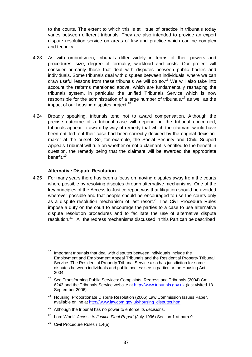to the courts. The extent to which this is still true of practice in tribunals today varies between different tribunals. They are also intended to provide an expert dispute resolution service on areas of law and practice which can be complex and technical.

- 4.23 As with ombudsmen, tribunals differ widely in terms of their powers and procedures, size, degree of formality, workload and costs. Our project will consider primarily those that deal with disputes between public bodies and individuals. Some tribunals deal with disputes between individuals; where we can draw useful lessons from these tribunals we will do so.<sup>16</sup> We will also take into account the reforms mentioned above, which are fundamentally reshaping the tribunals system, in particular the unified Tribunals Service which is now responsible for the administration of a large number of tribunals,<sup>17</sup> as well as the impact of our housing disputes project.<sup>[18](#page-38-2)</sup>
- 4.24 Broadly speaking, tribunals tend not to award compensation. Although the precise outcome of a tribunal case will depend on the tribunal concerned, tribunals appear to award by way of remedy that which the claimant would have been entitled to if their case had been correctly decided by the original decisionmaker at the outset. So, for example, the Social Security and Child Support Appeals Tribunal will rule on whether or not a claimant is entitled to the benefit in question, the remedy being that the claimant will be awarded the appropriate benefit.[19](#page-38-3)

#### **Alternative Dispute Resolution**

4.25 For many years there has been a focus on moving disputes away from the courts where possible by resolving disputes through alternative mechanisms. One of the key principles of the Access to Justice report was that litigation should be avoided wherever possible and that people should be encouraged to use the courts only as a dispute resolution mechanism of last resort.<sup>20</sup> The Civil Procedure Rules impose a duty on the court to encourage the parties to a case to use alternative dispute resolution procedures and to facilitate the use of alternative dispute resolution.[21](#page-38-5) All the redress mechanisms discussed in this Part can be described

- <span id="page-38-2"></span><sup>18</sup> Housing: Proportionate Dispute Resolution (2006) Law Commission Issues Paper, available online at http://www.lawcom.gov.uk/housing\_disputes.htm.
- <span id="page-38-3"></span> $19$  Although the tribunal has no power to enforce its decisions.
- <span id="page-38-4"></span><sup>20</sup> Lord Woolf, *Access to Justice Final Report* (July 1996) Section 1 at para 9.
- <span id="page-38-5"></span><sup>21</sup> Civil Procedure Rules r  $1.4(e)$ .

<span id="page-38-0"></span><sup>16</sup> Important tribunals that deal with disputes between individuals include the Employment and Employment Appeal Tribunals and the Residential Property Tribunal Service. The Residential Property Tribunal Service also has jurisdiction for some disputes between individuals and public bodies: see in particular the Housing Act 2004.

<span id="page-38-1"></span><sup>&</sup>lt;sup>17</sup> See Transforming Public Services: Complaints, Redress and Tribunals (2004) Cm 6243 and the Tribunals Service website at http://www.tribunals.gov.uk (last visited 18 September 2006).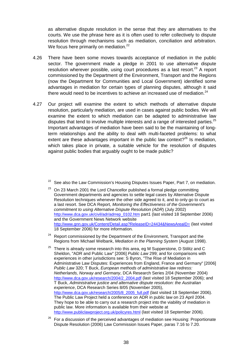as alternative dispute resolution in the sense that they are alternatives to the courts. We use the phrase here as it is often used to refer collectively to dispute resolution through mechanisms such as mediation, conciliation and arbitration. We focus here primarily on mediation.<sup>[22](#page-39-0)</sup>

- 4.26 There have been some moves towards acceptance of mediation in the public sector. The government made a pledge in 2001 to use alternative dispute resolution wherever possible, using court procedures as a last resort. $^{23}$  A report commissioned by the Department of the Environment, Transport and the Regions (now the Department for Communities and Local Government) identified some advantages in mediation for certain types of planning disputes, although it said there would need to be incentives to achieve an increased use of mediation. $24$
- 4.27 Our project will examine the extent to which methods of alternative dispute resolution, particularly mediation, are used in cases against public bodies. We will examine the extent to which mediation can be adapted to administrative law disputes that tend to involve multiple interests and a range of interested parties. $^{25}$  $^{25}$  $^{25}$ Important advantages of mediation have been said to be the maintaining of longterm relationships and the ability to deal with multi-faceted problems: to what extent are these advantages important in the public law context? $26$  Is mediation, which takes place in private, a suitable vehicle for the resolution of disputes against public bodies that arguably ought to be made public?

- <span id="page-39-1"></span> $23$  On 23 March 2001 the Lord Chancellor published a formal pledge committing Government departments and agencies to settle legal cases by Alternative Dispute Resolution techniques whenever the other side agreed to it, and to only go to court as a last resort. See DCA Report*, Monitoring the Effectiveness of the Government's commitment to using Alternative Dispute Resolution (ADR*) (July 2002) http://www.dca.gov.uk/civil/adr/adrrep\_0102.htm part1 (last visited 18 September 2006) and the Government News Network website http://www.gnn.gov.uk/Content/Detail.asp?ReleaseID=24434&NewsAreaID= (last visited 18 September 2006) for more information.
- <span id="page-39-2"></span><sup>24</sup> Report commissioned by the Department of the Environment, Transport and the Regions from Michael Welbank, *Mediation in the Planning System* (August 1998).
- <span id="page-39-3"></span> $25$  There is already some research into this area, eg M Supperstone, D Stilitz and C Sheldon, "ADR and Public Law" [2006] *Public Law* 299; and for comparisons with experiences in other jurisdictions see: S Byron, "The Rise of Mediation in Administrative Law Disputes: Experiences from England, France and Germany" [2006] *Public Law* 320; T Buck, *European methods of administrative law redress: Netherlands, Norway and Germany*, DCA Research Series 2/04 (November 2004) http://www.dca.gov.uk/research/2004/2\_2004.pdf (last visited 18 September 2006); and T Buck, *Administrative justice and alternative dispute resolution: the Australian experience*, DCA Research Series 8/05 (November 2005), http://www.dca.gov.uk/research/2005/8\_2005\_full.pdf (last visited 18 September 2006). The Public Law Project held a conference on ADR in public law on 23 April 2004. They hope to be able to carry out a research project into the viability of mediation in public law. More information is available from their website at http://www.publiclawproject.org.uk/policyres.html (last visited 18 September 2006).
- <span id="page-39-4"></span> $26$  For a discussion of the perceived advantages of mediation see Housing: Proportionate Dispute Resolution (2006) Law Commission Issues Paper, paras 7.16 to 7.20.

<span id="page-39-0"></span> $22$  See also the Law Commission's Housing Disputes Issues Paper, Part 7, on mediation.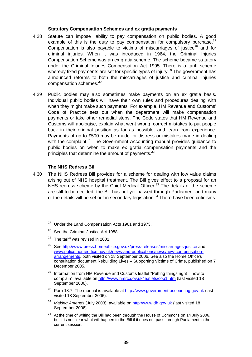#### **Statutory Compensation Schemes and ex gratia payments**

- 4.28 Statute can impose liability to pay compensation on public bodies. A good example of this is the duty to pay compensation for compulsory purchase. $27$ Compensation is also payable to victims of miscarriages of justice<sup>28</sup> and for criminal injuries. When it was introduced in 1964, the Criminal Injuries Compensation Scheme was an ex gratia scheme. The scheme became statutory under the Criminal Injuries Compensation Act 1995. There is a tariff scheme whereby fixed payments are set for specific types of injury.<sup>29</sup> The government has announced reforms to both the miscarriages of justice and criminal injuries compensation schemes.[30](#page-40-3)
- 4.29 Public bodies may also sometimes make payments on an ex gratia basis. Individual public bodies will have their own rules and procedures dealing with when they might make such payments. For example, HM Revenue and Customs' Code of Practice sets out when the department will make compensation payments or take other remedial steps. The Code states that HM Revenue and Customs will apologise, explain what went wrong, correct mistakes to put people back in their original position as far as possible, and learn from experience. Payments of up to £500 may be made for distress or mistakes made in dealing with the complaint. $31$  The Government Accounting manual provides guidance to public bodies on when to make ex gratia compensation payments and the principles that determine the amount of payments.<sup>[32](#page-40-5)</sup>

#### **The NHS Redress Bill**

- <span id="page-40-7"></span><span id="page-40-6"></span><span id="page-40-5"></span><span id="page-40-4"></span><span id="page-40-3"></span><span id="page-40-2"></span><span id="page-40-1"></span><span id="page-40-0"></span>4.30 The NHS Redress Bill provides for a scheme for dealing with low value claims arising out of NHS hospital treatment. The Bill gives effect to a proposal for an NHS redress scheme by the Chief Medical Officer.<sup>33</sup> The details of the scheme are still to be decided: the Bill has not yet passed through Parliament and many of the details will be set out in secondary legislation.<sup>34</sup> There have been criticisms
	- $27$  Under the Land Compensation Acts 1961 and 1973.
	- <sup>28</sup> See the Criminal Justice Act 1988.
	- $29$  The tariff was revised in 2001.
	- <sup>30</sup> See http://www.press.homeoffice.gov.uk/press-releases/miscarriages-justice and www.police.homeoffice.gov.uk/news-and-publications/news/new-compensationarrangements, both visited on 18 September 2006. See also the Home Office's consultation document Rebuilding Lives – Supporting Victims of Crime, published on 7 December 2005.
	- $31$  Information from HM Revenue and Customs leaflet "Putting things right how to complain", available on http://www.hmrc.gov.uk/leaflets/cop1.htm (last visited 18 September 2006).
	- <sup>32</sup> Para 18.7. The manual is available at http://www.government-accounting.gov.uk (last visited 18 September 2006).
	- <sup>33</sup> Making Amends (July 2003), available on http://www.dh.gov.uk (last visited 18 September 2006).
	- <sup>34</sup> At the time of writing the Bill had been through the House of Commons on 14 July 2006, but it is not clear what will happen to the Bill if it does not pass through Parliament in the current session.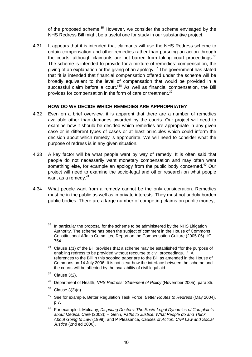of the proposed scheme.<sup>35</sup> However, we consider the scheme envisaged by the NHS Redress Bill might be a useful one for study in our substantive project.

4.31 It appears that it is intended that claimants will use the NHS Redress scheme to obtain compensation and other remedies rather than pursuing an action through the courts, although claimants are not barred from taking court proceedings.  $36$ The scheme is intended to provide for a mixture of remedies: compensation, the giving of an explanation or the giving of an apology.<sup>37</sup> The government has stated that "it is intended that financial compensation offered under the scheme will be broadly equivalent to the level of compensation that would be provided in a successful claim before a court."<sup>38</sup> As well as financial compensation, the Bill provides for compensation in the form of care or treatment.<sup>[39](#page-41-4)</sup>

# **HOW DO WE DECIDE WHICH REMEDIES ARE APPROPRIATE?**

- 4.32 Even on a brief overview, it is apparent that there are a number of remedies available other than damages awarded by the courts. Our project will need to examine how it should be decided which remedies are appropriate in any given case or in different types of cases or at least principles which could inform the decision about which remedy is appropriate. We will need to consider what the purpose of redress is in any given situation.
- 4.33 A key factor will be what people want by way of remedy. It is often said that people do not necessarily want monetary compensation and may often want something else, for example an apology from the public body concerned.<sup>40</sup> Our project will need to examine the socio-legal and other research on what people want as a remedy. $41$
- 4.34 What people want from a remedy cannot be the only consideration. Remedies must be in the public as well as in private interests. They must not unduly burden public bodies. There are a large number of competing claims on public money,

<span id="page-41-0"></span>In particular the proposal for the scheme to be administered by the NHS Litigation Authority. The scheme has been the subject of comment in the House of Commons Constitutional Affairs Committee Report on the Compensation Culture (2005-06) HC 754.

- <span id="page-41-1"></span> $36$  Clause 1(1) of the Bill provides that a scheme may be established "for the purpose of enabling redress to be provided without recourse to civil proceedings…". All references to the Bill in this scoping paper are to the Bill as amended in the House of Commons on 14 July 2006. It is not clear how the interface between the scheme and the courts will be affected by the availability of civil legal aid.
- <span id="page-41-2"></span> $37$  Clause 3(2).
- <span id="page-41-3"></span><sup>38</sup> Department of Health, *NHS Redress: Statement of Policy* (November 2005), para 35.
- <span id="page-41-4"></span> $39$  Clause 3(3)(a).
- <span id="page-41-5"></span><sup>40</sup> See for example, Better Regulation Task Force, *Better Routes to Redress* (May 2004), p 7.
- <span id="page-41-6"></span><sup>41</sup> For example L Mulcahy, *Disputing Doctors: The Socio-Legal Dynamics of Complaints about Medical Care* (2003); H Genn, *Paths to Justice: What People do and Think About Going to Law* (1999); and P Pleasance, *Causes of Action: Civil Law and Social Justice* (2nd ed 2006).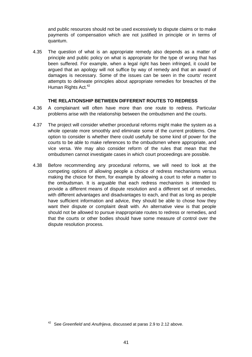and public resources should not be used excessively to dispute claims or to make payments of compensation which are not justified in principle or in terms of quantum.

4.35 The question of what is an appropriate remedy also depends as a matter of principle and public policy on what is appropriate for the type of wrong that has been suffered. For example, when a legal right has been infringed, it could be argued that an apology will not suffice by way of remedy and that an award of damages is necessary. Some of the issues can be seen in the courts' recent attempts to delineate principles about appropriate remedies for breaches of the Human Rights Act.<sup>[42](#page-42-0)</sup>

#### **THE RELATIONSHIP BETWEEN DIFFERENT ROUTES TO REDRESS**

- 4.36 A complainant will often have more than one route to redress. Particular problems arise with the relationship between the ombudsmen and the courts.
- 4.37 The project will consider whether procedural reforms might make the system as a whole operate more smoothly and eliminate some of the current problems. One option to consider is whether there could usefully be some kind of power for the courts to be able to make references to the ombudsmen where appropriate, and vice versa. We may also consider reform of the rules that mean that the ombudsmen cannot investigate cases in which court proceedings are possible.
- 4.38 Before recommending any procedural reforms, we will need to look at the competing options of allowing people a choice of redress mechanisms versus making the choice for them, for example by allowing a court to refer a matter to the ombudsman. It is arguable that each redress mechanism is intended to provide a different means of dispute resolution and a different set of remedies, with different advantages and disadvantages to each, and that as long as people have sufficient information and advice, they should be able to chose how they want their dispute or complaint dealt with. An alternative view is that people should not be allowed to pursue inappropriate routes to redress or remedies, and that the courts or other bodies should have some measure of control over the dispute resolution process.

<span id="page-42-0"></span><sup>42</sup> See *Greenfield* and *Anufrijeva*, discussed at paras 2.9 to 2.12 above.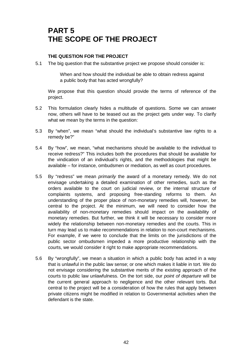# **PART 5 THE SCOPE OF THE PROJECT**

# **THE QUESTION FOR THE PROJECT**

5.1 The big question that the substantive project we propose should consider is:

When and how should the individual be able to obtain redress against a public body that has acted wrongfully?

We propose that this question should provide the terms of reference of the project.

- 5.2 This formulation clearly hides a multitude of questions. Some we can answer now, others will have to be teased out as the project gets under way. To clarify what we mean by the terms in the question:
- 5.3 By "when", we mean "what should the individual's substantive law rights to a remedy be?"
- 5.4 By "how", we mean, "what mechanisms should be available to the individual to receive redress?" This includes both the procedures that should be available for the vindication of an individual's rights, and the methodologies that might be available – for instance, ombudsmen or mediation, as well as court procedures.
- 5.5 By "redress" we mean *primarily* the award of a monetary remedy. We do not envisage undertaking a detailed examination of other remedies, such as the orders available to the court on judicial review, or the internal structure of complaints systems, and proposing free-standing reforms to them. An understanding of the proper place of non-monetary remedies will, however, be central to the project. At the minimum, we will need to consider how the availability of non-monetary remedies should impact on the availability of monetary remedies. But further, we think it will be necessary to consider more widely the relationship between non-monetary remedies and the courts. This in turn may lead us to make recommendations in relation to non-court mechanisms. For example, if we were to conclude that the limits on the jurisdictions of the public sector ombudsmen impeded a more productive relationship with the courts, we would consider it right to make appropriate recommendations.
- 5.6 By "wrongfully", we mean a situation in which a public body has acted in a way that is unlawful in the public law sense; or one which makes it liable in tort. We do not envisage considering the substantive merits of the existing approach of the courts to public law unlawfulness. On the tort side, our *point of departure* will be the current general approach to negligence and the other relevant torts. But central to the project will be a consideration of how the rules that apply between private citizens might be modified in relation to Governmental activities when the defendant is the state.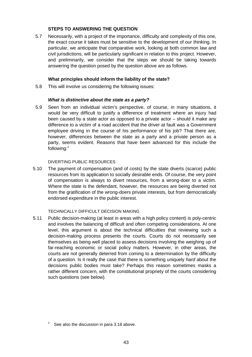# **STEPS TO ANSWERING THE QUESTION**

5.7 Necessarily, with a project of the importance, difficulty and complexity of this one, the exact course it takes must be sensitive to the development of our thinking. In particular, we anticipate that comparative work, looking at both common law and civil jurisdictions, will be particularly significant in relation to this project. However, and preliminarily, we consider that the steps we should be taking towards answering the question posed by the question above are as follows.

# **What principles should inform the liability of the state?**

5.8 This will involve us considering the following issues:

# *What is distinctive about the state as a party?*

5.9 Seen from an individual victim's perspective, of course, in many situations, it would be very difficult to justify a difference of treatment where an injury had been caused by a state actor as opposed to a private actor – should it make any difference to a victim of a road accident that the driver at fault was a Government employee driving in the course of his performance of his job? That there are, however, differences between the state as a party and a private person as a party, seems evident. Reasons that have been advanced for this include the following:[1](#page-44-0)

# DIVERTING PUBLIC RESOURCES

5.10 The payment of compensation (and of costs) by the state diverts (scarce) public resources from its application to socially desirable ends. Of course, the very point of compensation is always to divert resources, from a wrong-doer to a victim. Where the state is the defendant, however, the resources are being diverted not from the gratification of the wrong-doers private interests, but from democratically endorsed expenditure in the public interest.

#### TECHNICALLY DIFFICULT DECISION MAKING

5.11 Public decision-making (at least in areas with a high policy content) is poly-centric and involves the balancing of difficult and often competing considerations. At one level, this argument is about the technical difficulties that reviewing such a decision-making process presents the courts. Courts do not necessarily see themselves as being well placed to assess decisions involving the weighing up of far-reaching economic or social policy matters. However, in other areas, the courts are not generally deterred from coming to a determination by the difficulty of a question. Is it really the case that there is something uniquely *hard* about the decisions public bodies must take? Perhaps this reason sometimes masks a rather different concern, with the constitutional propriety of the courts considering such questions (see below).

<span id="page-44-0"></span>See also the discussion in para 3.18 above.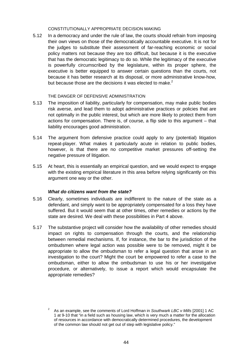#### CONSTITUTIONALLY APPROPRIATE DECISION MAKING

5.12 In a democracy and under the rule of law, the courts should refrain from imposing their own views on those of the democratically accountable executive. It is not for the judges to substitute their assessment of far-reaching economic or social policy matters not because they are too difficult, but because it is the executive that has the democratic legitimacy to do so. While the legitimacy of the executive is powerfully circumscribed by the legislature, within its proper sphere, the executive is better equipped to answer certain questions than the courts, not because it has better research at its disposal, or more administrative know-how, but because those are the decisions it was elected to make. $^2$  $^2$ 

#### THE DANGER OF DEFENSIVE ADMINISTRATION

- 5.13 The imposition of liability, particularly for compensation, may make public bodies risk averse, and lead them to adopt administrative practices or policies that are not optimally in the public interest, but which are more likely to protect them from actions for compensation. There is, of course, a flip side to this argument – that liability encourages good administration.
- 5.14 The argument from defensive practice could apply to any (potential) litigation repeat-player. What makes it particularly acute in relation to public bodies, however, is that there are no competitive market pressures off-setting the negative pressure of litigation.
- 5.15 At heart, this is essentially an empirical question, and we would expect to engage with the existing empirical literature in this area before relying significantly on this argument one way or the other.

# *What do citizens want from the state?*

- 5.16 Clearly, sometimes individuals are indifferent to the nature of the state as a defendant, and simply want to be appropriately compensated for a loss they have suffered. But it would seem that at other times, other remedies or actions by the state are desired. We deal with these possibilities in Part 4 above.
- 5.17 The substantive project will consider how the availability of other remedies should impact on rights to compensation through the courts, and the relationship between remedial mechanisms. If, for instance, the bar to the jurisdiction of the ombudsmen where legal action was possible were to be removed, might it be appropriate to allow the ombudsman to refer a legal question that arose in an investigation to the court? Might the court be empowered to refer a case to the ombudsman, either to allow the ombudsman to use his or her investigative procedure, or alternatively, to issue a report which would encapsulate the appropriate remedies?

<span id="page-45-0"></span><sup>2</sup> As an example, see the comments of Lord Hoffman in *Southwark LBC v Mills* [2001] 1 AC 1 at 9-10 that "in a field such as housing law, which is very much a matter for the allocation of resources in accordance with democratically determined procedures, the development of the common law should not get out of step with legislative policy."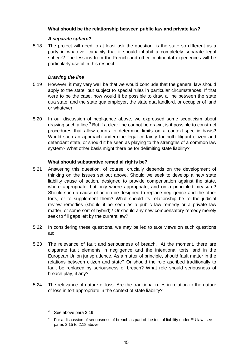# **What should be the relationship between public law and private law?**

# *A separate sphere?*

5.18 The project will need to at least ask the question: is the state so different as a party in whatever capacity that it should inhabit a completely separate legal sphere? The lessons from the French and other continental experiences will be particularly useful in this respect.

# *Drawing the line*

- 5.19 However, it may very well be that we would conclude that the general law should apply to the state, but subject to special rules in particular circumstances. If that were to be the case, how would it be possible to draw a line between the state qua state, and the state qua employer, the state qua landlord, or occupier of land or whatever.
- 5.20 In our discussion of negligence above, we expressed some scepticism about drawing such a line. $3$  But if a clear line cannot be drawn, is it possible to construct procedures that allow courts to determine limits on a context-specific basis? Would such an approach undermine legal certainty for both litigant citizen and defendant state, or should it be seen as playing to the strengths of a common law system? What other basis might there be for delimiting state liability?

# **What should substantive remedial rights be?**

- 5.21 Answering this question, of course, crucially depends on the development of thinking on the issues set out above. Should we seek to develop a new state liability cause of action, designed to provide compensation against the state, where appropriate, but only where appropriate, and on a principled measure? Should such a cause of action be designed to replace negligence and the other torts, or to supplement them? What should its relationship be to the judicial review remedies (should it be seen as a public law remedy or a private law matter, or some sort of hybrid)? Or should any new compensatory remedy merely seek to fill gaps left by the current law?
- 5.22 In considering these questions, we may be led to take views on such questions as:
- 5.23 The relevance of fault and seriousness of breach. $4$  At the moment, there are disparate fault elements in negligence and the intentional torts, and in the European Union jurisprudence. As a matter of principle, should fault matter in the relations between citizen and state? Or should the role ascribed traditionally to fault be replaced by seriousness of breach? What role should seriousness of breach play, if any?
- 5.24 The relevance of nature of loss: Are the traditional rules in relation to the nature of loss in tort appropriate in the context of state liability?

<span id="page-46-1"></span> $4$  For a discussion of seriousness of breach as part of the test of liability under EU law, see paras 2.15 to 2.18 above.

<span id="page-46-0"></span> $3$  See above para 3.19.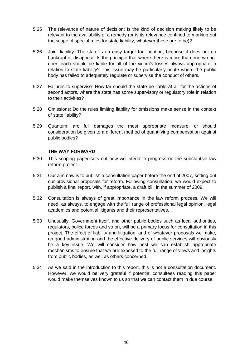- 5.25 The relevance of nature of decision: Is the kind of decision making likely to be relevant to the availability of a remedy (or is its relevance confined to marking out the scope of special rules for state liability, whatever these are to be)?
- 5.26 Joint liability: The state is an easy target for litigation, because it does not go bankrupt or disappear. Is the principle that where there is more than one wrongdoer, each should be liable for all of the victim's losses always appropriate in relation to state liability? This issue may be particularly acute where the public body has failed to adequately regulate or supervise the conduct of others.
- 5.27 Failures to supervise: How far should the state be liable at all for the actions of second actors, where the state has some supervisory or regulatory role in relation to their activities?
- 5.28 Omissions: Do the rules limiting liability for omissions make sense in the context of state liability?
- 5.29 Quantum: are full damages the most appropriate measure, or should consideration be given to a different method of quantifying compensation against public bodies?

# **THE WAY FORWARD**

- 5.30 This scoping paper sets out how we intend to progress on the substantive law reform project.
- 5.31 Our aim now is to publish a consultation paper before the end of 2007, setting out our provisional proposals for reform. Following consultation, we would expect to publish a final report, with, if appropriate, a draft bill, in the summer of 2009.
- 5.32 Consultation is always of great importance in the law reform process. We will need, as always, to engage with the full range of professional legal opinion, legal academics and potential litigants and their representatives.
- 5.33 Unusually, Government itself, and other public bodies such as local authorities, regulators, police forces and so on, will be a primary focus for consultation in this project. The effect of liability and litigation, and of whatever proposals we make, on good administration and the effective delivery of public services will obviously be a key issue. We will consider how best we can establish appropriate mechanisms to ensure that we are exposed to the full range of views and insights from public bodies, as well as others concerned.
- 5.34 As we said in the introduction to this report, this is not a consultation document. However, we would be very grateful if potential consultees reading this paper would make themselves known to us so that we can contact them in due course.